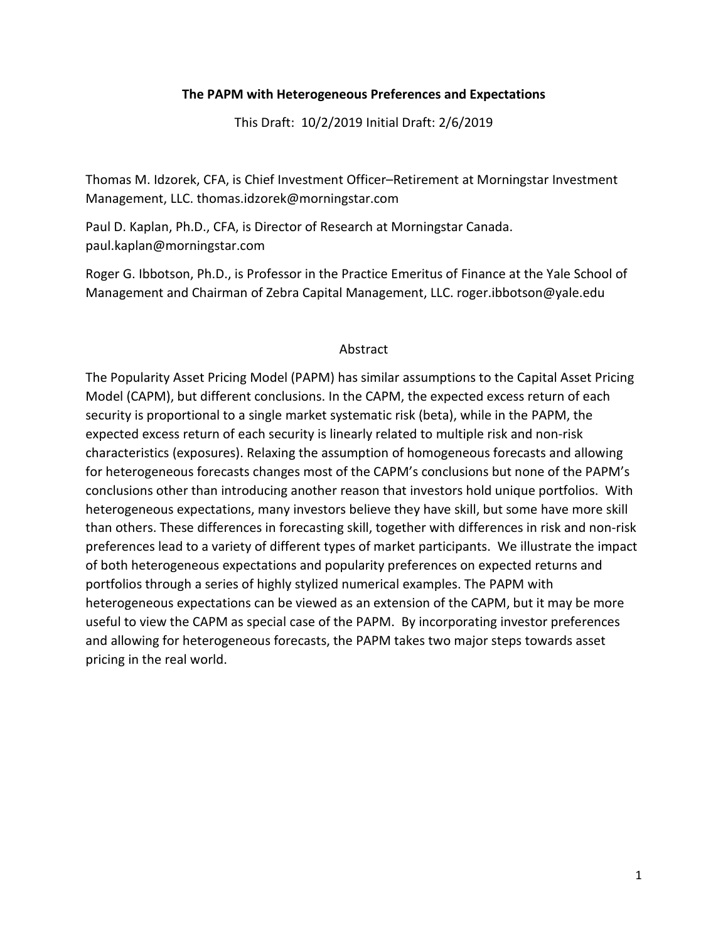# **The PAPM with Heterogeneous Preferences and Expectations**

This Draft: 10/2/2019 Initial Draft: 2/6/2019

Thomas M. Idzorek, CFA, is Chief Investment Officer–Retirement at Morningstar Investment Management, LLC. thomas.idzorek@morningstar.com

Paul D. Kaplan, Ph.D., CFA, is Director of Research at Morningstar Canada. paul.kaplan@morningstar.com

Roger G. Ibbotson, Ph.D., is Professor in the Practice Emeritus of Finance at the Yale School of Management and Chairman of Zebra Capital Management, LLC. roger.ibbotson@yale.edu

# Abstract

The Popularity Asset Pricing Model (PAPM) has similar assumptions to the Capital Asset Pricing Model (CAPM), but different conclusions. In the CAPM, the expected excess return of each security is proportional to a single market systematic risk (beta), while in the PAPM, the expected excess return of each security is linearly related to multiple risk and non-risk characteristics (exposures). Relaxing the assumption of homogeneous forecasts and allowing for heterogeneous forecasts changes most of the CAPM's conclusions but none of the PAPM's conclusions other than introducing another reason that investors hold unique portfolios. With heterogeneous expectations, many investors believe they have skill, but some have more skill than others. These differences in forecasting skill, together with differences in risk and non-risk preferences lead to a variety of different types of market participants. We illustrate the impact of both heterogeneous expectations and popularity preferences on expected returns and portfolios through a series of highly stylized numerical examples. The PAPM with heterogeneous expectations can be viewed as an extension of the CAPM, but it may be more useful to view the CAPM as special case of the PAPM. By incorporating investor preferences and allowing for heterogeneous forecasts, the PAPM takes two major steps towards asset pricing in the real world.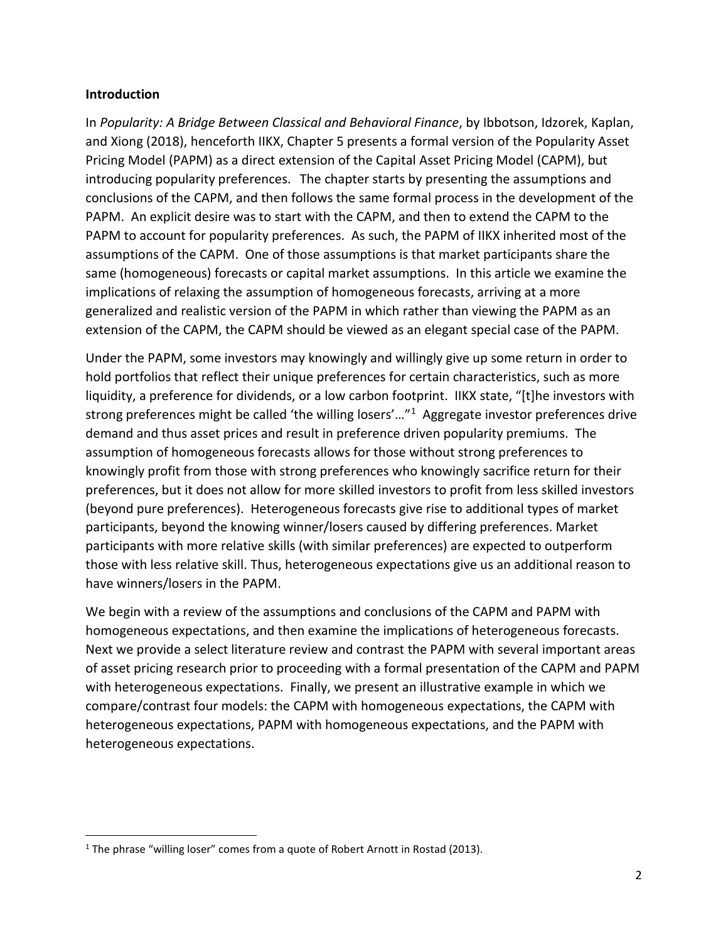### **Introduction**

In *Popularity: A Bridge Between Classical and Behavioral Finance*, by Ibbotson, Idzorek, Kaplan, and Xiong (2018), henceforth IIKX, Chapter 5 presents a formal version of the Popularity Asset Pricing Model (PAPM) as a direct extension of the Capital Asset Pricing Model (CAPM), but introducing popularity preferences. The chapter starts by presenting the assumptions and conclusions of the CAPM, and then follows the same formal process in the development of the PAPM. An explicit desire was to start with the CAPM, and then to extend the CAPM to the PAPM to account for popularity preferences. As such, the PAPM of IIKX inherited most of the assumptions of the CAPM. One of those assumptions is that market participants share the same (homogeneous) forecasts or capital market assumptions. In this article we examine the implications of relaxing the assumption of homogeneous forecasts, arriving at a more generalized and realistic version of the PAPM in which rather than viewing the PAPM as an extension of the CAPM, the CAPM should be viewed as an elegant special case of the PAPM.

Under the PAPM, some investors may knowingly and willingly give up some return in order to hold portfolios that reflect their unique preferences for certain characteristics, such as more liquidity, a preference for dividends, or a low carbon footprint. IIKX state, "[t]he investors with strong preferences might be called 'the willing losers'…"[1](#page-1-0) Aggregate investor preferences drive demand and thus asset prices and result in preference driven popularity premiums. The assumption of homogeneous forecasts allows for those without strong preferences to knowingly profit from those with strong preferences who knowingly sacrifice return for their preferences, but it does not allow for more skilled investors to profit from less skilled investors (beyond pure preferences). Heterogeneous forecasts give rise to additional types of market participants, beyond the knowing winner/losers caused by differing preferences. Market participants with more relative skills (with similar preferences) are expected to outperform those with less relative skill. Thus, heterogeneous expectations give us an additional reason to have winners/losers in the PAPM.

We begin with a review of the assumptions and conclusions of the CAPM and PAPM with homogeneous expectations, and then examine the implications of heterogeneous forecasts. Next we provide a select literature review and contrast the PAPM with several important areas of asset pricing research prior to proceeding with a formal presentation of the CAPM and PAPM with heterogeneous expectations. Finally, we present an illustrative example in which we compare/contrast four models: the CAPM with homogeneous expectations, the CAPM with heterogeneous expectations, PAPM with homogeneous expectations, and the PAPM with heterogeneous expectations.

<span id="page-1-0"></span><sup>&</sup>lt;sup>1</sup> The phrase "willing loser" comes from a quote of Robert Arnott in Rostad (2013).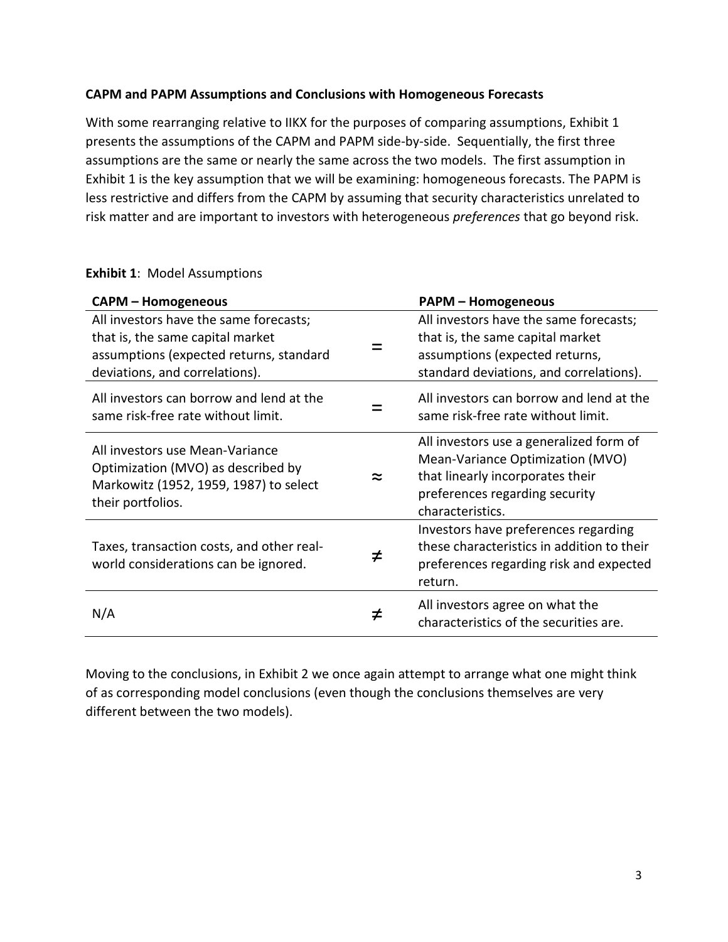# **CAPM and PAPM Assumptions and Conclusions with Homogeneous Forecasts**

With some rearranging relative to IIKX for the purposes of comparing assumptions, Exhibit 1 presents the assumptions of the CAPM and PAPM side-by-side. Sequentially, the first three assumptions are the same or nearly the same across the two models. The first assumption in Exhibit 1 is the key assumption that we will be examining: homogeneous forecasts. The PAPM is less restrictive and differs from the CAPM by assuming that security characteristics unrelated to risk matter and are important to investors with heterogeneous *preferences* that go beyond risk.

# **Exhibit 1**: Model Assumptions

| <b>CAPM - Homogeneous</b>                                                                                                                               |   | <b>PAPM - Homogeneous</b>                                                                                                                                             |
|---------------------------------------------------------------------------------------------------------------------------------------------------------|---|-----------------------------------------------------------------------------------------------------------------------------------------------------------------------|
| All investors have the same forecasts;<br>that is, the same capital market<br>assumptions (expected returns, standard<br>deviations, and correlations). |   | All investors have the same forecasts;<br>that is, the same capital market<br>assumptions (expected returns,<br>standard deviations, and correlations).               |
| All investors can borrow and lend at the<br>same risk-free rate without limit.                                                                          |   | All investors can borrow and lend at the<br>same risk-free rate without limit.                                                                                        |
| All investors use Mean-Variance<br>Optimization (MVO) as described by<br>Markowitz (1952, 1959, 1987) to select<br>their portfolios.                    | ≈ | All investors use a generalized form of<br>Mean-Variance Optimization (MVO)<br>that linearly incorporates their<br>preferences regarding security<br>characteristics. |
| Taxes, transaction costs, and other real-<br>world considerations can be ignored.                                                                       | ≠ | Investors have preferences regarding<br>these characteristics in addition to their<br>preferences regarding risk and expected<br>return.                              |
| N/A                                                                                                                                                     | ≠ | All investors agree on what the<br>characteristics of the securities are.                                                                                             |

Moving to the conclusions, in Exhibit 2 we once again attempt to arrange what one might think of as corresponding model conclusions (even though the conclusions themselves are very different between the two models).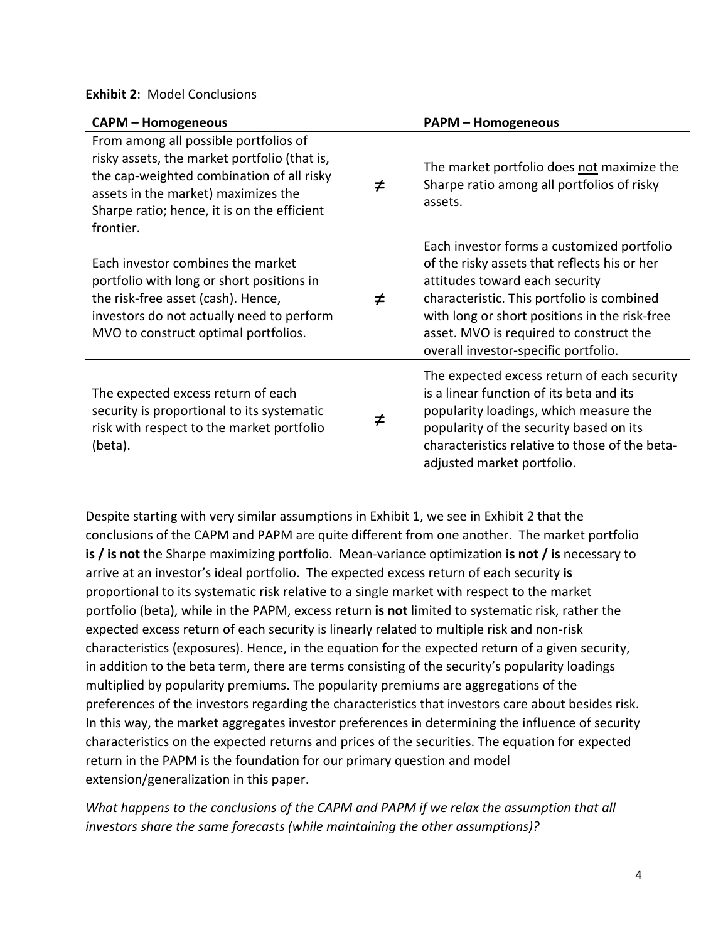### **Exhibit 2**: Model Conclusions

| <b>CAPM - Homogeneous</b>                                                                                                                                                                                                             |   | <b>PAPM - Homogeneous</b>                                                                                                                                                                                                                                                                                      |
|---------------------------------------------------------------------------------------------------------------------------------------------------------------------------------------------------------------------------------------|---|----------------------------------------------------------------------------------------------------------------------------------------------------------------------------------------------------------------------------------------------------------------------------------------------------------------|
| From among all possible portfolios of<br>risky assets, the market portfolio (that is,<br>the cap-weighted combination of all risky<br>assets in the market) maximizes the<br>Sharpe ratio; hence, it is on the efficient<br>frontier. | ≠ | The market portfolio does not maximize the<br>Sharpe ratio among all portfolios of risky<br>assets.                                                                                                                                                                                                            |
| Each investor combines the market<br>portfolio with long or short positions in<br>the risk-free asset (cash). Hence,<br>investors do not actually need to perform<br>MVO to construct optimal portfolios.                             | ≠ | Each investor forms a customized portfolio<br>of the risky assets that reflects his or her<br>attitudes toward each security<br>characteristic. This portfolio is combined<br>with long or short positions in the risk-free<br>asset. MVO is required to construct the<br>overall investor-specific portfolio. |
| The expected excess return of each<br>security is proportional to its systematic<br>risk with respect to the market portfolio<br>(beta).                                                                                              | ≠ | The expected excess return of each security<br>is a linear function of its beta and its<br>popularity loadings, which measure the<br>popularity of the security based on its<br>characteristics relative to those of the beta-<br>adjusted market portfolio.                                                   |

Despite starting with very similar assumptions in Exhibit 1, we see in Exhibit 2 that the conclusions of the CAPM and PAPM are quite different from one another. The market portfolio **is / is not** the Sharpe maximizing portfolio. Mean-variance optimization **is not / is** necessary to arrive at an investor's ideal portfolio. The expected excess return of each security **is**  proportional to its systematic risk relative to a single market with respect to the market portfolio (beta), while in the PAPM, excess return **is not** limited to systematic risk, rather the expected excess return of each security is linearly related to multiple risk and non-risk characteristics (exposures). Hence, in the equation for the expected return of a given security, in addition to the beta term, there are terms consisting of the security's popularity loadings multiplied by popularity premiums. The popularity premiums are aggregations of the preferences of the investors regarding the characteristics that investors care about besides risk. In this way, the market aggregates investor preferences in determining the influence of security characteristics on the expected returns and prices of the securities. The equation for expected return in the PAPM is the foundation for our primary question and model extension/generalization in this paper.

*What happens to the conclusions of the CAPM and PAPM if we relax the assumption that all investors share the same forecasts (while maintaining the other assumptions)?*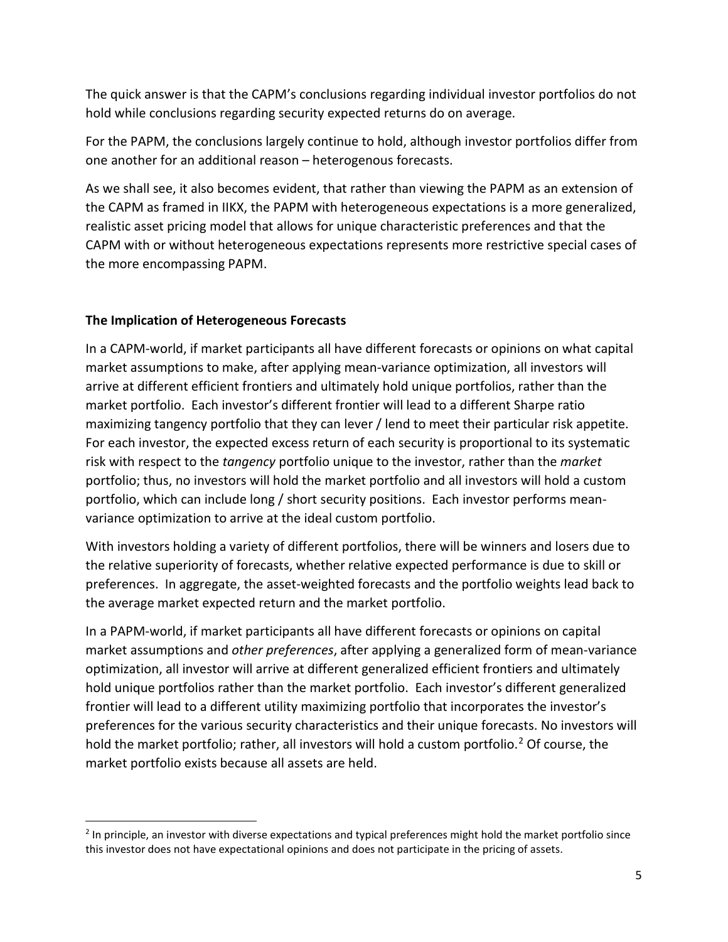The quick answer is that the CAPM's conclusions regarding individual investor portfolios do not hold while conclusions regarding security expected returns do on average.

For the PAPM, the conclusions largely continue to hold, although investor portfolios differ from one another for an additional reason – heterogenous forecasts.

As we shall see, it also becomes evident, that rather than viewing the PAPM as an extension of the CAPM as framed in IIKX, the PAPM with heterogeneous expectations is a more generalized, realistic asset pricing model that allows for unique characteristic preferences and that the CAPM with or without heterogeneous expectations represents more restrictive special cases of the more encompassing PAPM.

# **The Implication of Heterogeneous Forecasts**

In a CAPM-world, if market participants all have different forecasts or opinions on what capital market assumptions to make, after applying mean-variance optimization, all investors will arrive at different efficient frontiers and ultimately hold unique portfolios, rather than the market portfolio. Each investor's different frontier will lead to a different Sharpe ratio maximizing tangency portfolio that they can lever / lend to meet their particular risk appetite. For each investor, the expected excess return of each security is proportional to its systematic risk with respect to the *tangency* portfolio unique to the investor, rather than the *market* portfolio; thus, no investors will hold the market portfolio and all investors will hold a custom portfolio, which can include long / short security positions. Each investor performs meanvariance optimization to arrive at the ideal custom portfolio.

With investors holding a variety of different portfolios, there will be winners and losers due to the relative superiority of forecasts, whether relative expected performance is due to skill or preferences. In aggregate, the asset-weighted forecasts and the portfolio weights lead back to the average market expected return and the market portfolio.

In a PAPM-world, if market participants all have different forecasts or opinions on capital market assumptions and *other preferences*, after applying a generalized form of mean-variance optimization, all investor will arrive at different generalized efficient frontiers and ultimately hold unique portfolios rather than the market portfolio. Each investor's different generalized frontier will lead to a different utility maximizing portfolio that incorporates the investor's preferences for the various security characteristics and their unique forecasts. No investors will hold the market portfolio; rather, all investors will hold a custom portfolio.<sup>[2](#page-4-0)</sup> Of course, the market portfolio exists because all assets are held.

<span id="page-4-0"></span> $2$  In principle, an investor with diverse expectations and typical preferences might hold the market portfolio since this investor does not have expectational opinions and does not participate in the pricing of assets.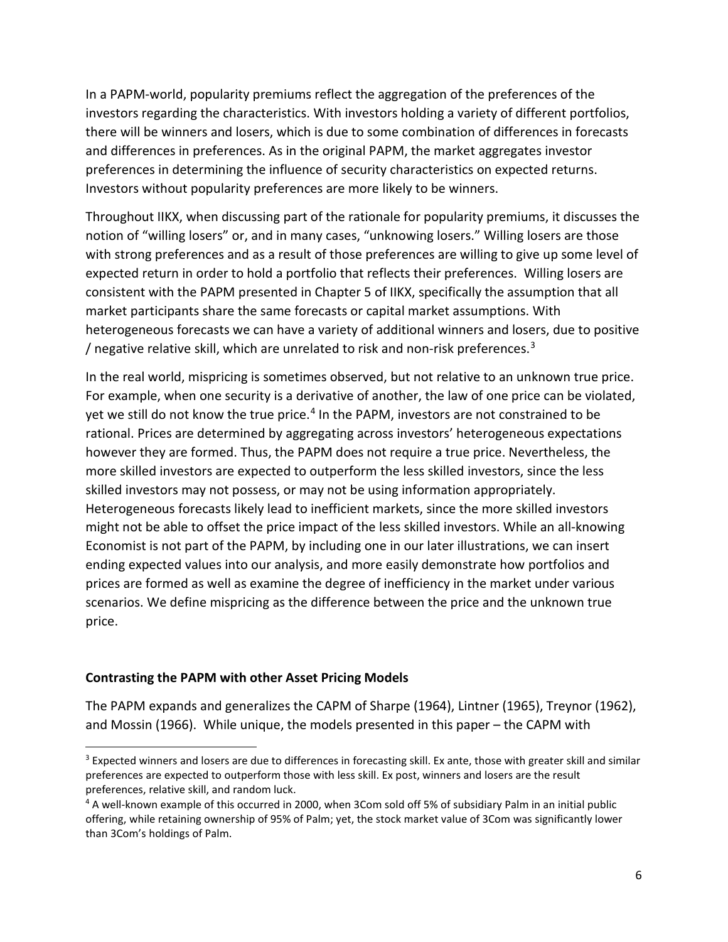In a PAPM-world, popularity premiums reflect the aggregation of the preferences of the investors regarding the characteristics. With investors holding a variety of different portfolios, there will be winners and losers, which is due to some combination of differences in forecasts and differences in preferences. As in the original PAPM, the market aggregates investor preferences in determining the influence of security characteristics on expected returns. Investors without popularity preferences are more likely to be winners.

Throughout IIKX, when discussing part of the rationale for popularity premiums, it discusses the notion of "willing losers" or, and in many cases, "unknowing losers." Willing losers are those with strong preferences and as a result of those preferences are willing to give up some level of expected return in order to hold a portfolio that reflects their preferences. Willing losers are consistent with the PAPM presented in Chapter 5 of IIKX, specifically the assumption that all market participants share the same forecasts or capital market assumptions. With heterogeneous forecasts we can have a variety of additional winners and losers, due to positive / negative relative skill, which are unrelated to risk and non-risk preferences.<sup>[3](#page-5-0)</sup>

In the real world, mispricing is sometimes observed, but not relative to an unknown true price. For example, when one security is a derivative of another, the law of one price can be violated, yet we still do not know the true price.<sup>[4](#page-5-1)</sup> In the PAPM, investors are not constrained to be rational. Prices are determined by aggregating across investors' heterogeneous expectations however they are formed. Thus, the PAPM does not require a true price. Nevertheless, the more skilled investors are expected to outperform the less skilled investors, since the less skilled investors may not possess, or may not be using information appropriately. Heterogeneous forecasts likely lead to inefficient markets, since the more skilled investors might not be able to offset the price impact of the less skilled investors. While an all-knowing Economist is not part of the PAPM, by including one in our later illustrations, we can insert ending expected values into our analysis, and more easily demonstrate how portfolios and prices are formed as well as examine the degree of inefficiency in the market under various scenarios. We define mispricing as the difference between the price and the unknown true price.

# **Contrasting the PAPM with other Asset Pricing Models**

The PAPM expands and generalizes the CAPM of Sharpe (1964), Lintner (1965), Treynor (1962), and Mossin (1966). While unique, the models presented in this paper – the CAPM with

<span id="page-5-0"></span><sup>&</sup>lt;sup>3</sup> Expected winners and losers are due to differences in forecasting skill. Ex ante, those with greater skill and similar preferences are expected to outperform those with less skill. Ex post, winners and losers are the result preferences, relative skill, and random luck.

<span id="page-5-1"></span><sup>&</sup>lt;sup>4</sup> A well-known example of this occurred in 2000, when 3Com sold off 5% of subsidiary Palm in an initial public offering, while retaining ownership of 95% of Palm; yet, the stock market value of 3Com was significantly lower than 3Com's holdings of Palm.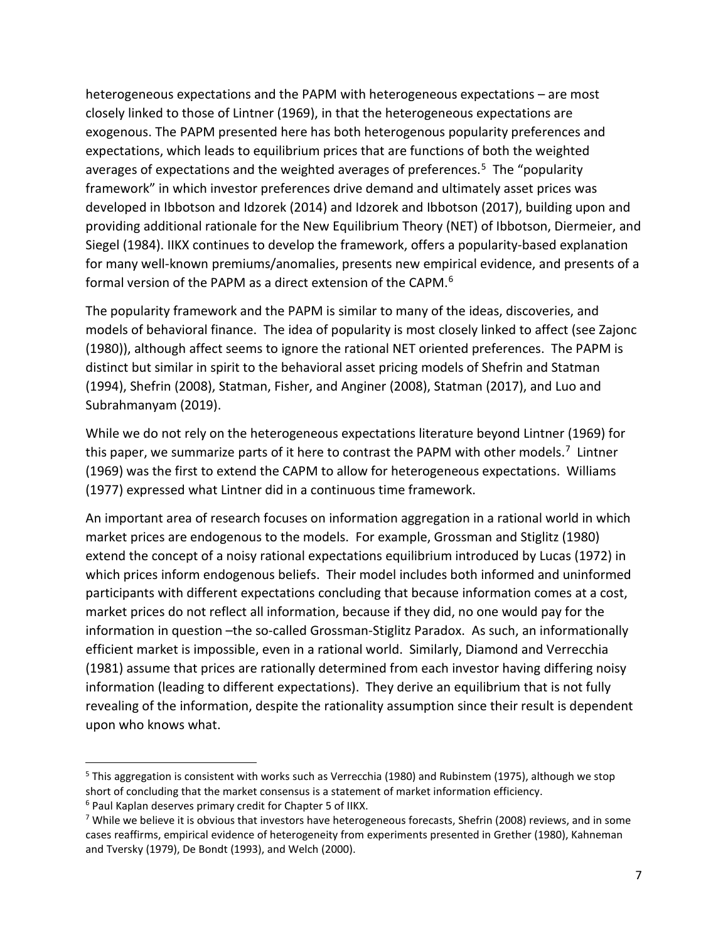heterogeneous expectations and the PAPM with heterogeneous expectations – are most closely linked to those of Lintner (1969), in that the heterogeneous expectations are exogenous. The PAPM presented here has both heterogenous popularity preferences and expectations, which leads to equilibrium prices that are functions of both the weighted averages of expectations and the weighted averages of preferences.<sup>5</sup> The "popularity framework" in which investor preferences drive demand and ultimately asset prices was developed in Ibbotson and Idzorek (2014) and Idzorek and Ibbotson (2017), building upon and providing additional rationale for the New Equilibrium Theory (NET) of Ibbotson, Diermeier, and Siegel (1984). IIKX continues to develop the framework, offers a popularity-based explanation for many well-known premiums/anomalies, presents new empirical evidence, and presents of a formal version of the PAPM as a direct extension of the CAPM.<sup>[6](#page-6-1)</sup>

The popularity framework and the PAPM is similar to many of the ideas, discoveries, and models of behavioral finance. The idea of popularity is most closely linked to affect (see Zajonc (1980)), although affect seems to ignore the rational NET oriented preferences. The PAPM is distinct but similar in spirit to the behavioral asset pricing models of Shefrin and Statman (1994), Shefrin (2008), Statman, Fisher, and Anginer (2008), Statman (2017), and Luo and Subrahmanyam (2019).

While we do not rely on the heterogeneous expectations literature beyond Lintner (1969) for this paper, we summarize parts of it here to contrast the PAPM with other models.<sup>7</sup> Lintner (1969) was the first to extend the CAPM to allow for heterogeneous expectations. Williams (1977) expressed what Lintner did in a continuous time framework.

An important area of research focuses on information aggregation in a rational world in which market prices are endogenous to the models. For example, Grossman and Stiglitz (1980) extend the concept of a noisy rational expectations equilibrium introduced by Lucas (1972) in which prices inform endogenous beliefs. Their model includes both informed and uninformed participants with different expectations concluding that because information comes at a cost, market prices do not reflect all information, because if they did, no one would pay for the information in question –the so-called Grossman-Stiglitz Paradox. As such, an informationally efficient market is impossible, even in a rational world. Similarly, Diamond and Verrecchia (1981) assume that prices are rationally determined from each investor having differing noisy information (leading to different expectations). They derive an equilibrium that is not fully revealing of the information, despite the rationality assumption since their result is dependent upon who knows what.

<span id="page-6-0"></span><sup>5</sup> This aggregation is consistent with works such as Verrecchia (1980) and Rubinstem (1975), although we stop short of concluding that the market consensus is a statement of market information efficiency.

<span id="page-6-1"></span><sup>6</sup> Paul Kaplan deserves primary credit for Chapter 5 of IIKX.

<span id="page-6-2"></span><sup>&</sup>lt;sup>7</sup> While we believe it is obvious that investors have heterogeneous forecasts, Shefrin (2008) reviews, and in some cases reaffirms, empirical evidence of heterogeneity from experiments presented in Grether (1980), Kahneman and Tversky (1979), De Bondt (1993), and Welch (2000).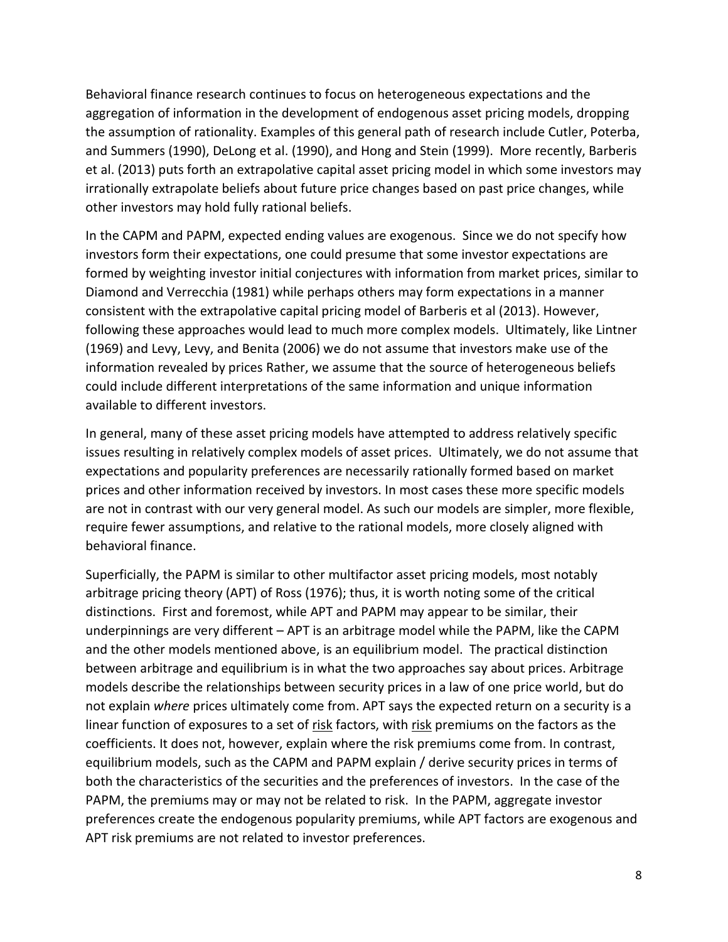Behavioral finance research continues to focus on heterogeneous expectations and the aggregation of information in the development of endogenous asset pricing models, dropping the assumption of rationality. Examples of this general path of research include Cutler, Poterba, and Summers (1990), DeLong et al. (1990), and Hong and Stein (1999). More recently, Barberis et al. (2013) puts forth an extrapolative capital asset pricing model in which some investors may irrationally extrapolate beliefs about future price changes based on past price changes, while other investors may hold fully rational beliefs.

In the CAPM and PAPM, expected ending values are exogenous. Since we do not specify how investors form their expectations, one could presume that some investor expectations are formed by weighting investor initial conjectures with information from market prices, similar to Diamond and Verrecchia (1981) while perhaps others may form expectations in a manner consistent with the extrapolative capital pricing model of Barberis et al (2013). However, following these approaches would lead to much more complex models. Ultimately, like Lintner (1969) and Levy, Levy, and Benita (2006) we do not assume that investors make use of the information revealed by prices Rather, we assume that the source of heterogeneous beliefs could include different interpretations of the same information and unique information available to different investors.

In general, many of these asset pricing models have attempted to address relatively specific issues resulting in relatively complex models of asset prices. Ultimately, we do not assume that expectations and popularity preferences are necessarily rationally formed based on market prices and other information received by investors. In most cases these more specific models are not in contrast with our very general model. As such our models are simpler, more flexible, require fewer assumptions, and relative to the rational models, more closely aligned with behavioral finance.

Superficially, the PAPM is similar to other multifactor asset pricing models, most notably arbitrage pricing theory (APT) of Ross (1976); thus, it is worth noting some of the critical distinctions. First and foremost, while APT and PAPM may appear to be similar, their underpinnings are very different – APT is an arbitrage model while the PAPM, like the CAPM and the other models mentioned above, is an equilibrium model. The practical distinction between arbitrage and equilibrium is in what the two approaches say about prices. Arbitrage models describe the relationships between security prices in a law of one price world, but do not explain *where* prices ultimately come from. APT says the expected return on a security is a linear function of exposures to a set of risk factors, with risk premiums on the factors as the coefficients. It does not, however, explain where the risk premiums come from. In contrast, equilibrium models, such as the CAPM and PAPM explain / derive security prices in terms of both the characteristics of the securities and the preferences of investors. In the case of the PAPM, the premiums may or may not be related to risk. In the PAPM, aggregate investor preferences create the endogenous popularity premiums, while APT factors are exogenous and APT risk premiums are not related to investor preferences.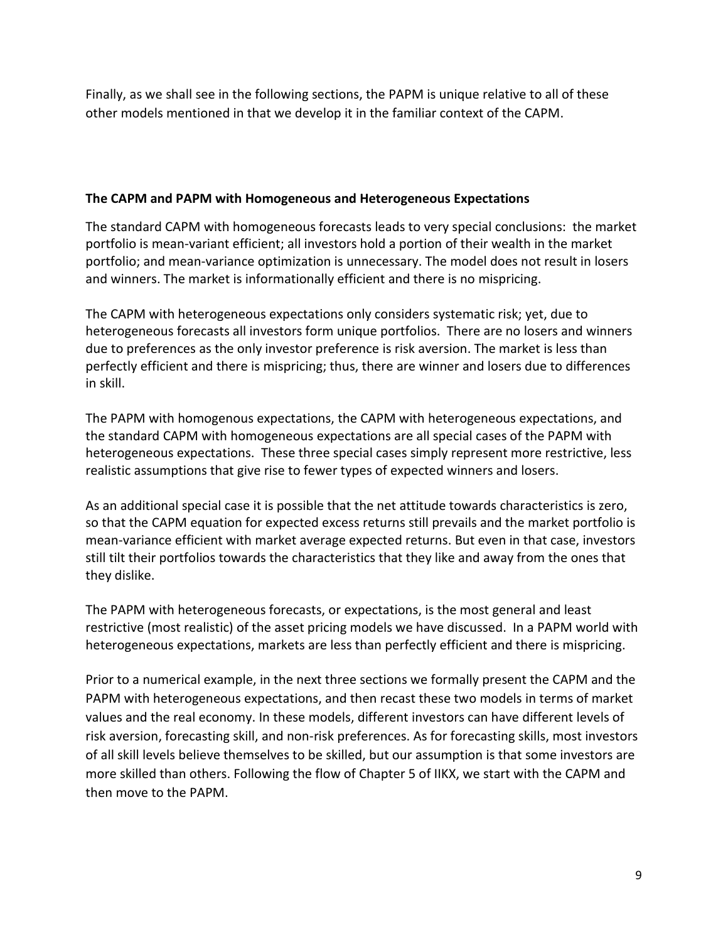Finally, as we shall see in the following sections, the PAPM is unique relative to all of these other models mentioned in that we develop it in the familiar context of the CAPM.

# **The CAPM and PAPM with Homogeneous and Heterogeneous Expectations**

The standard CAPM with homogeneous forecasts leads to very special conclusions: the market portfolio is mean-variant efficient; all investors hold a portion of their wealth in the market portfolio; and mean-variance optimization is unnecessary. The model does not result in losers and winners. The market is informationally efficient and there is no mispricing.

The CAPM with heterogeneous expectations only considers systematic risk; yet, due to heterogeneous forecasts all investors form unique portfolios. There are no losers and winners due to preferences as the only investor preference is risk aversion. The market is less than perfectly efficient and there is mispricing; thus, there are winner and losers due to differences in skill.

The PAPM with homogenous expectations, the CAPM with heterogeneous expectations, and the standard CAPM with homogeneous expectations are all special cases of the PAPM with heterogeneous expectations. These three special cases simply represent more restrictive, less realistic assumptions that give rise to fewer types of expected winners and losers.

As an additional special case it is possible that the net attitude towards characteristics is zero, so that the CAPM equation for expected excess returns still prevails and the market portfolio is mean-variance efficient with market average expected returns. But even in that case, investors still tilt their portfolios towards the characteristics that they like and away from the ones that they dislike.

The PAPM with heterogeneous forecasts, or expectations, is the most general and least restrictive (most realistic) of the asset pricing models we have discussed. In a PAPM world with heterogeneous expectations, markets are less than perfectly efficient and there is mispricing.

Prior to a numerical example, in the next three sections we formally present the CAPM and the PAPM with heterogeneous expectations, and then recast these two models in terms of market values and the real economy. In these models, different investors can have different levels of risk aversion, forecasting skill, and non-risk preferences. As for forecasting skills, most investors of all skill levels believe themselves to be skilled, but our assumption is that some investors are more skilled than others. Following the flow of Chapter 5 of IIKX, we start with the CAPM and then move to the PAPM.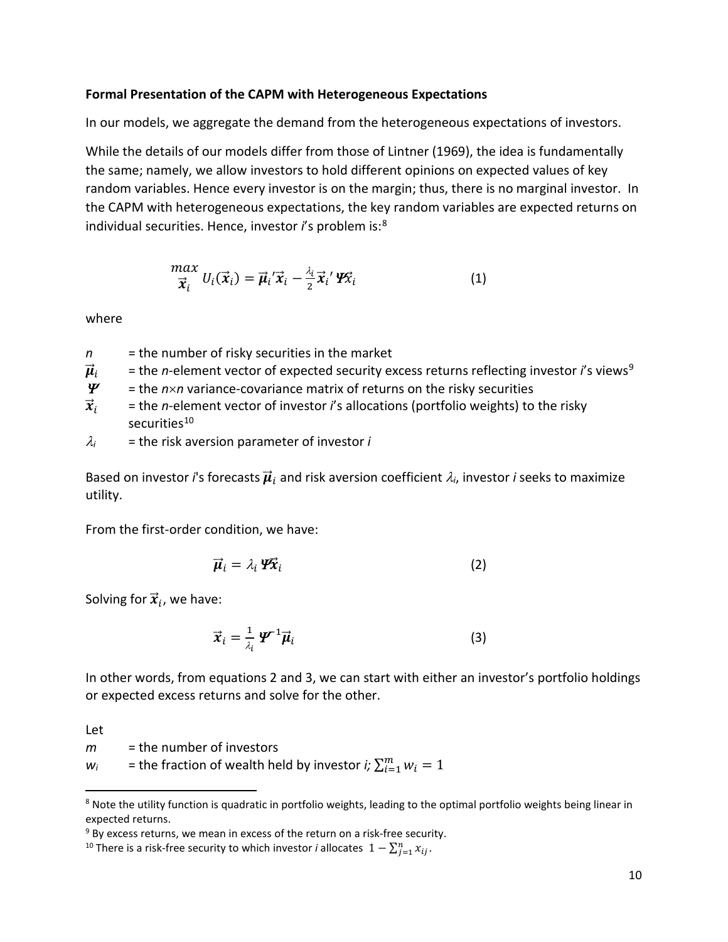### **Formal Presentation of the CAPM with Heterogeneous Expectations**

In our models, we aggregate the demand from the heterogeneous expectations of investors.

While the details of our models differ from those of Lintner (1969), the idea is fundamentally the same; namely, we allow investors to hold different opinions on expected values of key random variables. Hence every investor is on the margin; thus, there is no marginal investor. In the CAPM with heterogeneous expectations, the key random variables are expected returns on individual securities. Hence, investor *i*'s problem is:[8](#page-9-0)

$$
\frac{max}{\vec{x}_i} U_i(\vec{x}_i) = \vec{\mu}_i' \vec{x}_i - \frac{\lambda_i}{2} \vec{x}_i' \mathbf{Y} \vec{x}_i
$$
 (1)

where

- *n* = the number of risky securities in the market
- $\vec{\mu}_i$  = the *n*-element vector of expected security excess returns reflecting investor *i*'s views<sup>[9](#page-9-1)</sup><br> $\boldsymbol{\varPsi}$  = the *n*×*n* variance-covariance matrix of returns on the risky securities  $=$  the  $n \times n$  variance-covariance matrix of returns on the risky securities
- $\vec{x}_i$  = the *n*-element vector of investor *i*'s allocations (portfolio weights) to the risky securities<sup>[10](#page-9-2)</sup>
- $\lambda_i$  = the risk aversion parameter of investor *i*

Based on investor *i*'s forecasts  $\vec{\mu}_i$  and risk aversion coefficient  $\lambda_i$ , investor *i* seeks to maximize utility.

From the first-order condition, we have:

$$
\vec{\mu}_i = \lambda_i \, \mathcal{P} \vec{x}_i \tag{2}
$$

Solving for  $\vec{x}_i$ , we have:

$$
\vec{x}_i = \frac{1}{\lambda_i} \, \boldsymbol{\varPsi}^{\text{-1}} \vec{\boldsymbol{\mu}}_i \tag{3}
$$

In other words, from equations 2 and 3, we can start with either an investor's portfolio holdings or expected excess returns and solve for the other.

Let

*m* = the number of investors

 $w_i$  = the fraction of wealth held by investor *i;*  $\sum_{i=1}^{m} w_i = 1$ 

<span id="page-9-0"></span><sup>&</sup>lt;sup>8</sup> Note the utility function is quadratic in portfolio weights, leading to the optimal portfolio weights being linear in expected returns.

<span id="page-9-1"></span> $9$  By excess returns, we mean in excess of the return on a risk-free security.

<span id="page-9-2"></span><sup>&</sup>lt;sup>10</sup> There is a risk-free security to which investor *i* allocates  $1 - \sum_{j=1}^n x_{ij}$ .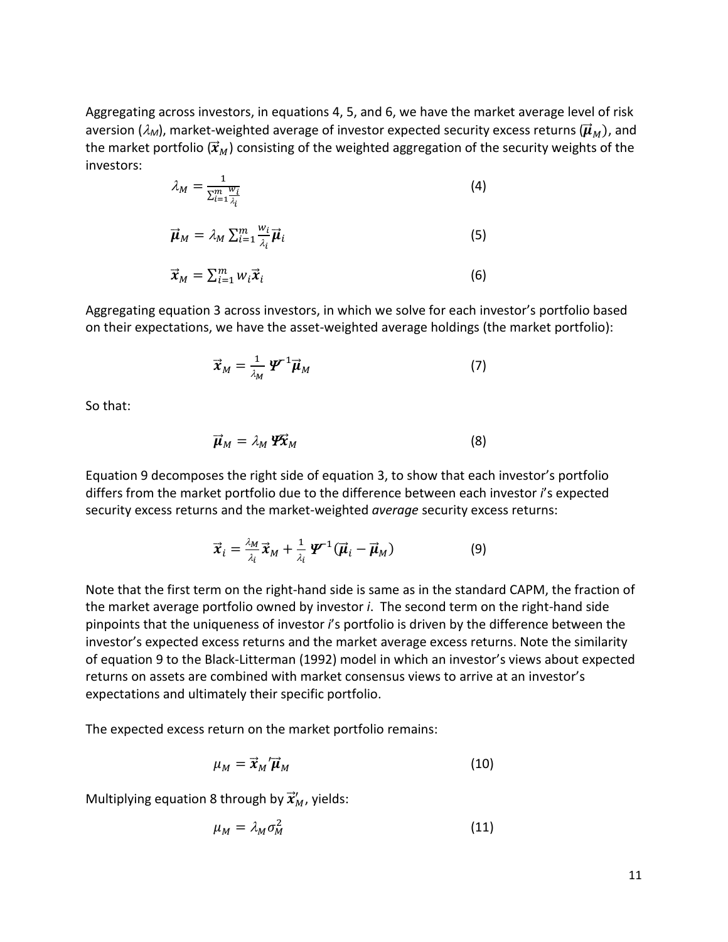Aggregating across investors, in equations 4, 5, and 6, we have the market average level of risk aversion ( $\lambda_M$ ), market-weighted average of investor expected security excess returns ( $\vec{\mu}_M$ ), and the market portfolio ( $\vec{x}_M$ ) consisting of the weighted aggregation of the security weights of the investors:

$$
\lambda_M = \frac{1}{\sum_{i=1}^m \frac{w_i}{\lambda_i}}\tag{4}
$$

$$
\vec{\boldsymbol{\mu}}_M = \lambda_M \sum_{i=1}^m \frac{w_i}{\lambda_i} \vec{\boldsymbol{\mu}}_i
$$
 (5)

$$
\vec{x}_M = \sum_{i=1}^m w_i \vec{x}_i
$$
 (6)

Aggregating equation 3 across investors, in which we solve for each investor's portfolio based on their expectations, we have the asset-weighted average holdings (the market portfolio):

$$
\vec{x}_M = \frac{1}{\lambda_M} \, \boldsymbol{\mathscr{L}}^{-1} \vec{\boldsymbol{\mu}}_M \tag{7}
$$

So that:

$$
\vec{\boldsymbol{\mu}}_M = \lambda_M \, \boldsymbol{\varPsi} \vec{\boldsymbol{\chi}}_M \tag{8}
$$

Equation 9 decomposes the right side of equation 3, to show that each investor's portfolio differs from the market portfolio due to the difference between each investor *i*'s expected security excess returns and the market-weighted *average* security excess returns:

$$
\vec{x}_i = \frac{\lambda_M}{\lambda_i} \vec{x}_M + \frac{1}{\lambda_i} \mathbf{\Psi}^{-1} (\vec{\boldsymbol{\mu}}_i - \vec{\boldsymbol{\mu}}_M)
$$
(9)

Note that the first term on the right-hand side is same as in the standard CAPM, the fraction of the market average portfolio owned by investor *i*. The second term on the right-hand side pinpoints that the uniqueness of investor *i*'s portfolio is driven by the difference between the investor's expected excess returns and the market average excess returns. Note the similarity of equation 9 to the Black-Litterman (1992) model in which an investor's views about expected returns on assets are combined with market consensus views to arrive at an investor's expectations and ultimately their specific portfolio.

The expected excess return on the market portfolio remains:

$$
\mu_M = \vec{x}_M' \vec{\mu}_M \tag{10}
$$

Multiplying equation 8 through by  $\vec{x}^{\prime}_M$ , yields:

$$
\mu_M = \lambda_M \sigma_M^2 \tag{11}
$$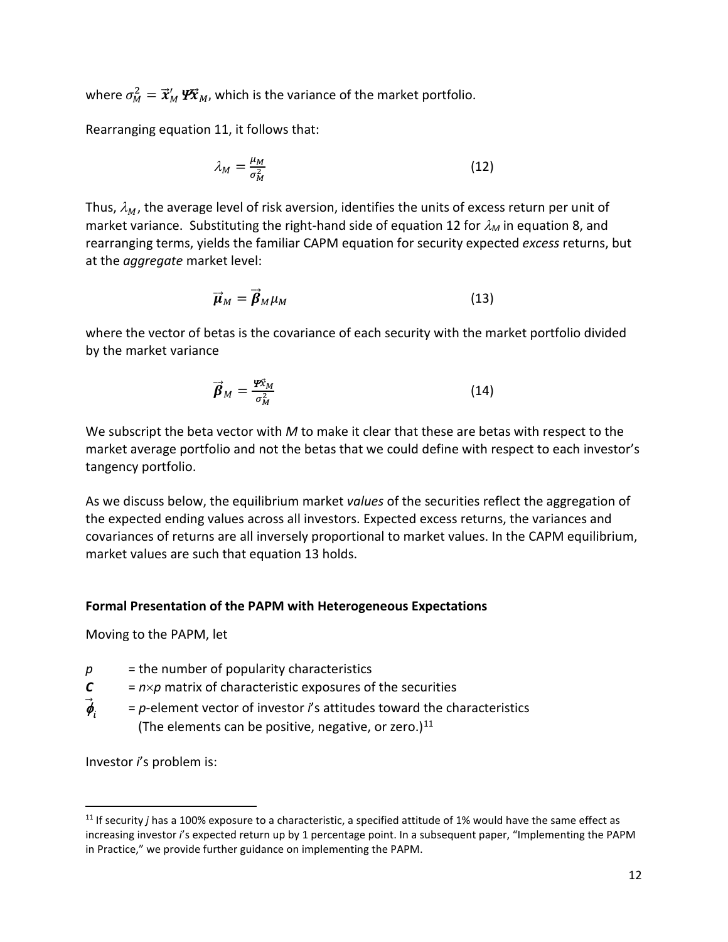where  $\sigma_M^2 = \vec{x}_M' \mathbf{W}$ , which is the variance of the market portfolio.

Rearranging equation 11, it follows that:

$$
\lambda_M = \frac{\mu_M}{\sigma_M^2} \tag{12}
$$

Thus,  $\lambda_M$ , the average level of risk aversion, identifies the units of excess return per unit of market variance. Substituting the right-hand side of equation 12 for  $\lambda_M$  in equation 8, and rearranging terms, yields the familiar CAPM equation for security expected *excess* returns, but at the *aggregate* market level:

$$
\vec{\boldsymbol{\mu}}_M = \vec{\boldsymbol{\beta}}_M \mu_M \tag{13}
$$

where the vector of betas is the covariance of each security with the market portfolio divided by the market variance

$$
\vec{\beta}_M = \frac{\mathcal{F}\vec{x}_M}{\sigma_M^2} \tag{14}
$$

We subscript the beta vector with *M* to make it clear that these are betas with respect to the market average portfolio and not the betas that we could define with respect to each investor's tangency portfolio.

As we discuss below, the equilibrium market *values* of the securities reflect the aggregation of the expected ending values across all investors. Expected excess returns, the variances and covariances of returns are all inversely proportional to market values. In the CAPM equilibrium, market values are such that equation 13 holds.

#### **Formal Presentation of the PAPM with Heterogeneous Expectations**

Moving to the PAPM, let

- $p =$  the number of popularity characteristics
- $C = n \times p$  matrix of characteristic exposures of the securities
- $\vec{\phi}_{i}$  <sup>=</sup>*p*-element vector of investor *i*'s attitudes toward the characteristics (The elements can be positive, negative, or zero.) $^{11}$  $^{11}$  $^{11}$

Investor *i*'s problem is:

<span id="page-11-0"></span><sup>&</sup>lt;sup>11</sup> If security *j* has a 100% exposure to a characteristic, a specified attitude of 1% would have the same effect as increasing investor *i*'s expected return up by 1 percentage point. In a subsequent paper, "Implementing the PAPM in Practice," we provide further guidance on implementing the PAPM.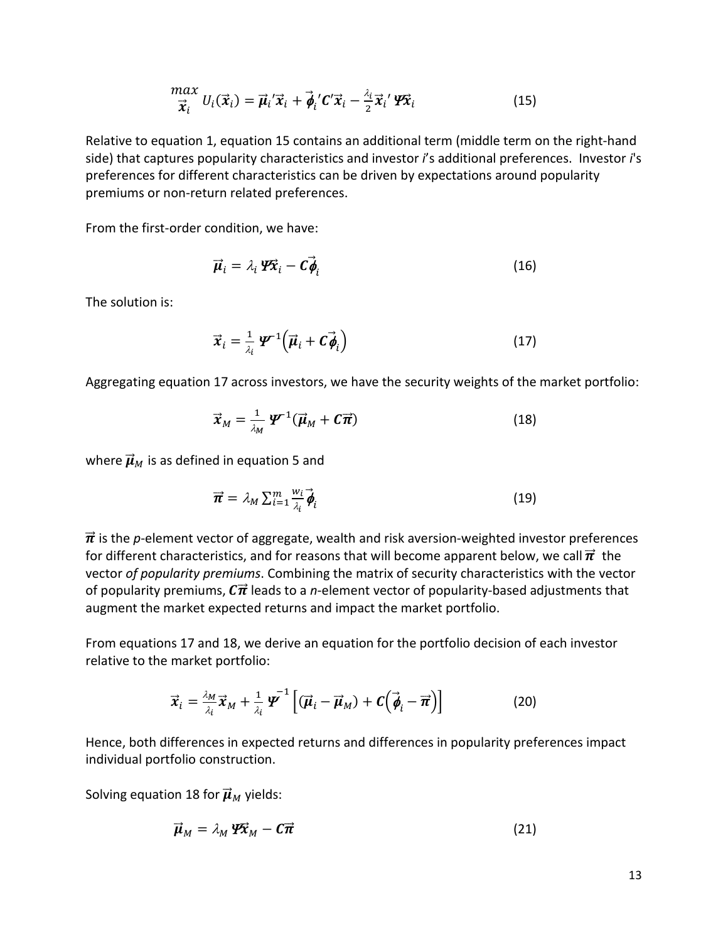$$
\frac{max}{\vec{x}_i} U_i(\vec{x}_i) = \vec{\mu}_i' \vec{x}_i + \vec{\phi}_i' C' \vec{x}_i - \frac{\lambda_i}{2} \vec{x}_i' \mathbf{W} \vec{x}_i
$$
(15)

Relative to equation 1, equation 15 contains an additional term (middle term on the right-hand side) that captures popularity characteristics and investor *i*'s additional preferences. Investor *i*'s preferences for different characteristics can be driven by expectations around popularity premiums or non-return related preferences.

From the first-order condition, we have:

$$
\vec{\mu}_i = \lambda_i \, \mathbf{P} \vec{\mathbf{x}}_i - \mathbf{C} \vec{\boldsymbol{\phi}}_i \tag{16}
$$

The solution is:

$$
\vec{x}_i = \frac{1}{\lambda_i} \, \boldsymbol{\varPsi}^{\text{-1}} \Big( \vec{\boldsymbol{\mu}}_i + \boldsymbol{C} \vec{\boldsymbol{\phi}}_i \Big) \tag{17}
$$

Aggregating equation 17 across investors, we have the security weights of the market portfolio:

$$
\vec{x}_M = \frac{1}{\lambda_M} \, \boldsymbol{\mathcal{Y}}^{-1} (\vec{\boldsymbol{\mu}}_M + \boldsymbol{\mathcal{C}} \vec{\boldsymbol{\pi}}) \tag{18}
$$

where  $\vec{\mu}_M$  is as defined in equation 5 and

$$
\vec{\boldsymbol{\pi}} = \lambda_M \sum_{i=1}^m \frac{w_i}{\lambda_i} \vec{\boldsymbol{\phi}}_i
$$
 (19)

 $\vec{\pi}$  is the *p*-element vector of aggregate, wealth and risk aversion-weighted investor preferences for different characteristics, and for reasons that will become apparent below, we call  $\vec{\pi}$  the vector *of popularity premiums*. Combining the matrix of security characteristics with the vector of popularity premiums,  $\mathcal{C}\vec{\pi}$  leads to a *n*-element vector of popularity-based adjustments that augment the market expected returns and impact the market portfolio.

From equations 17 and 18, we derive an equation for the portfolio decision of each investor relative to the market portfolio:

$$
\vec{x}_i = \frac{\lambda_M}{\lambda_i} \vec{x}_M + \frac{1}{\lambda_i} \boldsymbol{\varPsi}^{-1} \left[ (\vec{\boldsymbol{\mu}}_i - \vec{\boldsymbol{\mu}}_M) + \boldsymbol{C} \left( \vec{\boldsymbol{\phi}}_i - \vec{\boldsymbol{\pi}} \right) \right]
$$
(20)

Hence, both differences in expected returns and differences in popularity preferences impact individual portfolio construction.

Solving equation 18 for  $\vec{\mu}_M$  yields:

$$
\vec{\boldsymbol{\mu}}_M = \lambda_M \, \boldsymbol{\varPsi} \vec{\boldsymbol{\chi}}_M - \boldsymbol{C} \vec{\boldsymbol{\pi}} \tag{21}
$$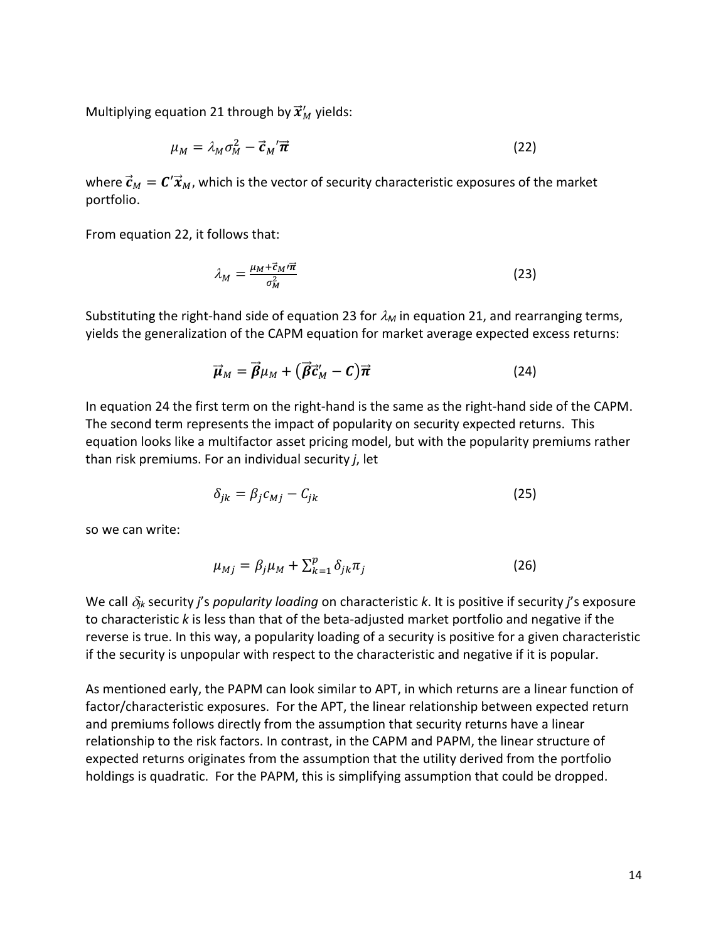Multiplying equation 21 through by  $\vec{x}^\prime_M$  yields:

$$
\mu_M = \lambda_M \sigma_M^2 - \vec{c}_M' \vec{\pi}
$$
 (22)

where  $\vec{\bm{c}}_M = \bm{C}'\vec{\bm{\mathcal{X}}}_M$ , which is the vector of security characteristic exposures of the market portfolio.

From equation 22, it follows that:

$$
\lambda_M = \frac{\mu_M + \vec{c}_M / \vec{\pi}}{\sigma_M^2} \tag{23}
$$

Substituting the right-hand side of equation 23 for  $\lambda_M$  in equation 21, and rearranging terms, yields the generalization of the CAPM equation for market average expected excess returns:

$$
\vec{\boldsymbol{\mu}}_M = \vec{\boldsymbol{\beta}} \mu_M + (\vec{\boldsymbol{\beta}} \vec{\boldsymbol{c}}_M' - \boldsymbol{C}) \vec{\boldsymbol{\pi}} \tag{24}
$$

In equation 24 the first term on the right-hand is the same as the right-hand side of the CAPM. The second term represents the impact of popularity on security expected returns. This equation looks like a multifactor asset pricing model, but with the popularity premiums rather than risk premiums. For an individual security *j*, let

$$
\delta_{jk} = \beta_j c_{Mj} - C_{jk} \tag{25}
$$

so we can write:

$$
\mu_{Mj} = \beta_j \mu_M + \sum_{k=1}^p \delta_{jk} \pi_j \tag{26}
$$

We call δ*jk* security *j*'s *popularity loading* on characteristic *k*. It is positive if security *j*'s exposure to characteristic *k* is less than that of the beta-adjusted market portfolio and negative if the reverse is true. In this way, a popularity loading of a security is positive for a given characteristic if the security is unpopular with respect to the characteristic and negative if it is popular.

As mentioned early, the PAPM can look similar to APT, in which returns are a linear function of factor/characteristic exposures. For the APT, the linear relationship between expected return and premiums follows directly from the assumption that security returns have a linear relationship to the risk factors. In contrast, in the CAPM and PAPM, the linear structure of expected returns originates from the assumption that the utility derived from the portfolio holdings is quadratic. For the PAPM, this is simplifying assumption that could be dropped.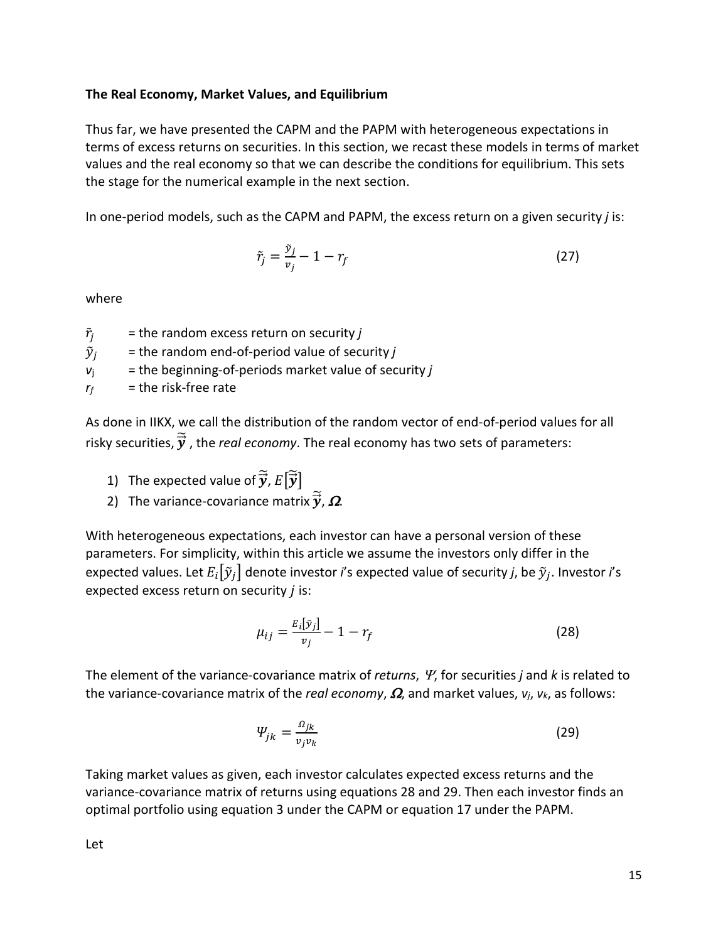# **The Real Economy, Market Values, and Equilibrium**

Thus far, we have presented the CAPM and the PAPM with heterogeneous expectations in terms of excess returns on securities. In this section, we recast these models in terms of market values and the real economy so that we can describe the conditions for equilibrium. This sets the stage for the numerical example in the next section.

In one-period models, such as the CAPM and PAPM, the excess return on a given security *j* is:

$$
\tilde{r}_j = \frac{\tilde{v}_j}{v_j} - 1 - r_f \tag{27}
$$

where

- $\tilde{r}_j$  = the random excess return on security *j*
- $\tilde{y}_i$  = the random end-of-period value of security *j*
- $v_i$  = the beginning-of-periods market value of security *j*
- $r_f$  = the risk-free rate

As done in IIKX, we call the distribution of the random vector of end-of-period values for all risky securities,  $\overrightarrow{\bm{y}}$  , the *real economy*. The real economy has two sets of parameters:

- 1) The expected value of  $\vec{y}$ ,  $E[\vec{y}]$
- 2) The variance-covariance matrix  $\vec{y}$ ,  $\Omega$ .

With heterogeneous expectations, each investor can have a personal version of these parameters. For simplicity, within this article we assume the investors only differ in the expected values. Let  $E_i[\tilde{y}_i]$  denote investor *i*'s expected value of security *j*, be  $\tilde{y}_i$ . Investor *i*'s expected excess return on security  $j$  is:

$$
\mu_{ij} = \frac{E_i[\tilde{\mathbf{y}}_j]}{\nu_j} - 1 - r_f \tag{28}
$$

The element of the variance-covariance matrix of *returns*, Ψ, for securities *j* and *k* is related to the variance-covariance matrix of the *real economy*, Ω, and market values, *vj*, *vk*, as follows:

$$
\Psi_{jk} = \frac{\Omega_{jk}}{v_j v_k} \tag{29}
$$

Taking market values as given, each investor calculates expected excess returns and the variance-covariance matrix of returns using equations 28 and 29. Then each investor finds an optimal portfolio using equation 3 under the CAPM or equation 17 under the PAPM.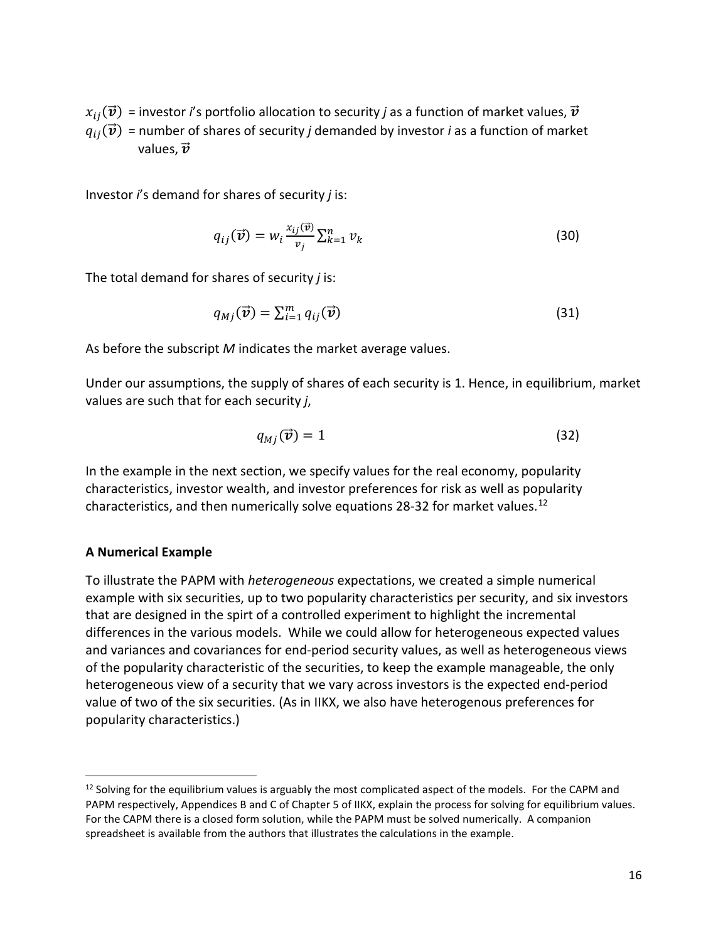$x_{ij}(\vec{v})$  = investor *i*'s portfolio allocation to security *j* as a function of market values,  $\vec{v}$  $q_{ij}(\vec{v})$  = number of shares of security *j* demanded by investor *i* as a function of market values,  $\vec{\mathbf{v}}$ 

Investor *i*'s demand for shares of security *j* is:

$$
q_{ij}(\vec{\boldsymbol{v}}) = w_i \frac{x_{ij}(\vec{\boldsymbol{v}})}{v_j} \sum_{k=1}^n v_k
$$
\n(30)

The total demand for shares of security *j* is:

$$
q_{Mj}(\vec{\boldsymbol{v}}) = \sum_{i=1}^{m} q_{ij}(\vec{\boldsymbol{v}})
$$
\n(31)

As before the subscript *M* indicates the market average values.

Under our assumptions, the supply of shares of each security is 1. Hence, in equilibrium, market values are such that for each security *j*,

$$
q_{Mj}(\vec{\boldsymbol{v}})=1\tag{32}
$$

In the example in the next section, we specify values for the real economy, popularity characteristics, investor wealth, and investor preferences for risk as well as popularity characteristics, and then numerically solve equations 28-32 for market values.<sup>[12](#page-15-0)</sup>

#### **A Numerical Example**

To illustrate the PAPM with *heterogeneous* expectations, we created a simple numerical example with six securities, up to two popularity characteristics per security, and six investors that are designed in the spirt of a controlled experiment to highlight the incremental differences in the various models. While we could allow for heterogeneous expected values and variances and covariances for end-period security values, as well as heterogeneous views of the popularity characteristic of the securities, to keep the example manageable, the only heterogeneous view of a security that we vary across investors is the expected end-period value of two of the six securities. (As in IIKX, we also have heterogenous preferences for popularity characteristics.)

<span id="page-15-0"></span> $12$  Solving for the equilibrium values is arguably the most complicated aspect of the models. For the CAPM and PAPM respectively, Appendices B and C of Chapter 5 of IIKX, explain the process for solving for equilibrium values. For the CAPM there is a closed form solution, while the PAPM must be solved numerically. A companion spreadsheet is available from the authors that illustrates the calculations in the example.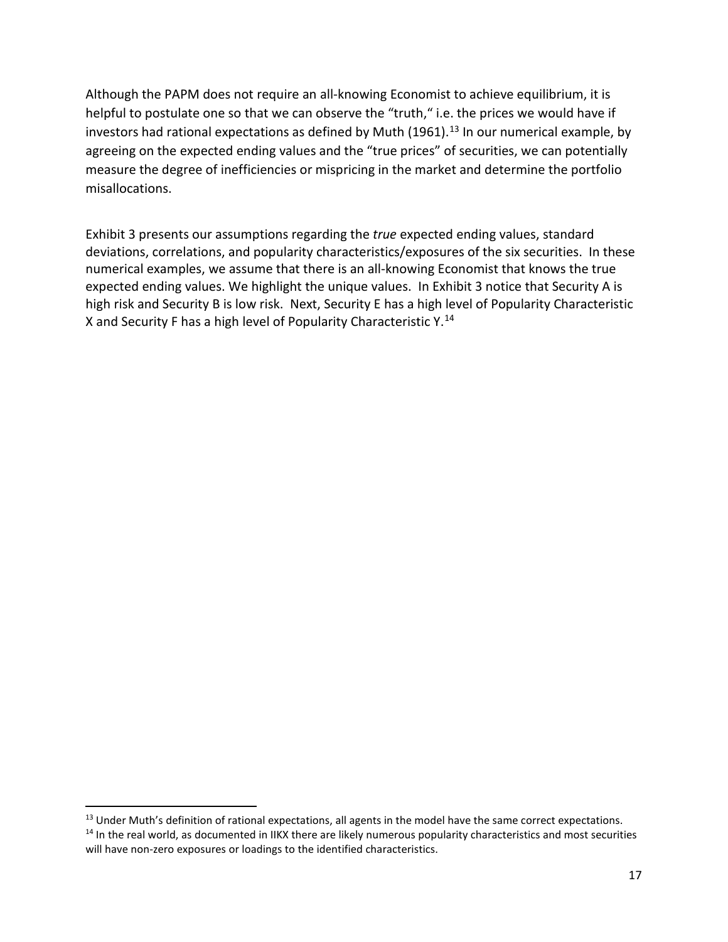Although the PAPM does not require an all-knowing Economist to achieve equilibrium, it is helpful to postulate one so that we can observe the "truth," i.e. the prices we would have if investors had rational expectations as defined by Muth  $(1961).$ <sup>[13](#page-16-0)</sup> In our numerical example, by agreeing on the expected ending values and the "true prices" of securities, we can potentially measure the degree of inefficiencies or mispricing in the market and determine the portfolio misallocations.

Exhibit 3 presents our assumptions regarding the *true* expected ending values, standard deviations, correlations, and popularity characteristics/exposures of the six securities. In these numerical examples, we assume that there is an all-knowing Economist that knows the true expected ending values. We highlight the unique values. In Exhibit 3 notice that Security A is high risk and Security B is low risk. Next, Security E has a high level of Popularity Characteristic X and Security F has a high level of Popularity Characteristic Y.<sup>[14](#page-16-1)</sup>

<span id="page-16-1"></span><span id="page-16-0"></span><sup>&</sup>lt;sup>13</sup> Under Muth's definition of rational expectations, all agents in the model have the same correct expectations.  $14$  In the real world, as documented in IIKX there are likely numerous popularity characteristics and most securities will have non-zero exposures or loadings to the identified characteristics.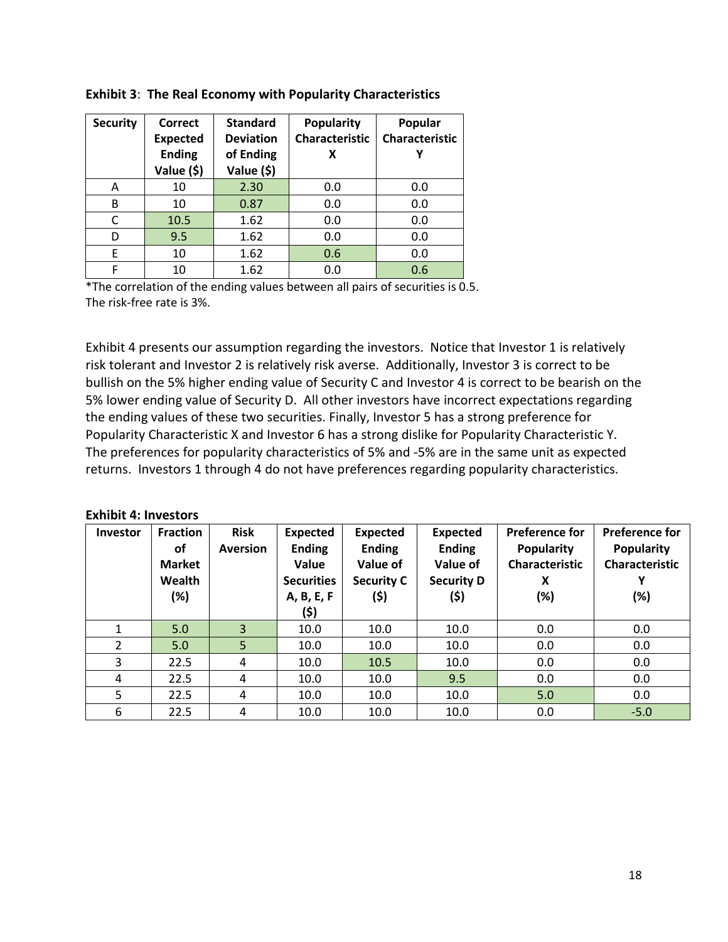| <b>Security</b> | <b>Correct</b><br><b>Expected</b><br><b>Ending</b><br>Value (\$) | <b>Standard</b><br><b>Deviation</b><br>of Ending<br>Value (\$) | <b>Popularity</b><br><b>Characteristic</b><br>x | Popular<br><b>Characteristic</b><br>γ |
|-----------------|------------------------------------------------------------------|----------------------------------------------------------------|-------------------------------------------------|---------------------------------------|
| A               | 10                                                               | 2.30                                                           | 0.0                                             | 0.0                                   |
| B               | 10                                                               | 0.87                                                           | 0.0                                             | 0.0                                   |
| C               | 10.5                                                             | 1.62                                                           | 0.0                                             | 0.0                                   |
| D               | 9.5                                                              | 1.62                                                           | 0.0                                             | 0.0                                   |
| E               | 10                                                               | 1.62                                                           | 0.6                                             | 0.0                                   |
| F               | 10                                                               | 1.62                                                           | 0.0                                             | 0.6                                   |

### **Exhibit 3**: **The Real Economy with Popularity Characteristics**

\*The correlation of the ending values between all pairs of securities is 0.5. The risk-free rate is 3%.

Exhibit 4 presents our assumption regarding the investors. Notice that Investor 1 is relatively risk tolerant and Investor 2 is relatively risk averse. Additionally, Investor 3 is correct to be bullish on the 5% higher ending value of Security C and Investor 4 is correct to be bearish on the 5% lower ending value of Security D. All other investors have incorrect expectations regarding the ending values of these two securities. Finally, Investor 5 has a strong preference for Popularity Characteristic X and Investor 6 has a strong dislike for Popularity Characteristic Y. The preferences for popularity characteristics of 5% and -5% are in the same unit as expected returns. Investors 1 through 4 do not have preferences regarding popularity characteristics.

#### **Exhibit 4: Investors**

| Investor       | <b>Fraction</b><br><b>of</b><br><b>Market</b><br>Wealth<br>(%) | <b>Risk</b><br><b>Aversion</b> | <b>Expected</b><br><b>Ending</b><br>Value<br><b>Securities</b><br>A, B, E, F<br>(\$) | <b>Expected</b><br><b>Ending</b><br>Value of<br><b>Security C</b><br>(\$) | <b>Expected</b><br><b>Ending</b><br>Value of<br><b>Security D</b><br>(\$) | <b>Preference for</b><br><b>Popularity</b><br><b>Characteristic</b><br>X<br>(%) | <b>Preference for</b><br><b>Popularity</b><br><b>Characteristic</b><br>(%) |
|----------------|----------------------------------------------------------------|--------------------------------|--------------------------------------------------------------------------------------|---------------------------------------------------------------------------|---------------------------------------------------------------------------|---------------------------------------------------------------------------------|----------------------------------------------------------------------------|
| 1              | 5.0                                                            | 3                              | 10.0                                                                                 | 10.0                                                                      | 10.0                                                                      | 0.0                                                                             | 0.0                                                                        |
| $\overline{2}$ | 5.0                                                            | 5                              | 10.0                                                                                 | 10.0                                                                      | 10.0                                                                      | 0.0                                                                             | 0.0                                                                        |
| 3              | 22.5                                                           | 4                              | 10.0                                                                                 | 10.5                                                                      | 10.0                                                                      | 0.0                                                                             | 0.0                                                                        |
| 4              | 22.5                                                           | 4                              | 10.0                                                                                 | 10.0                                                                      | 9.5                                                                       | 0.0                                                                             | 0.0                                                                        |
| 5              | 22.5                                                           | 4                              | 10.0                                                                                 | 10.0                                                                      | 10.0                                                                      | 5.0                                                                             | 0.0                                                                        |
| 6              | 22.5                                                           | 4                              | 10.0                                                                                 | 10.0                                                                      | 10.0                                                                      | 0.0                                                                             | $-5.0$                                                                     |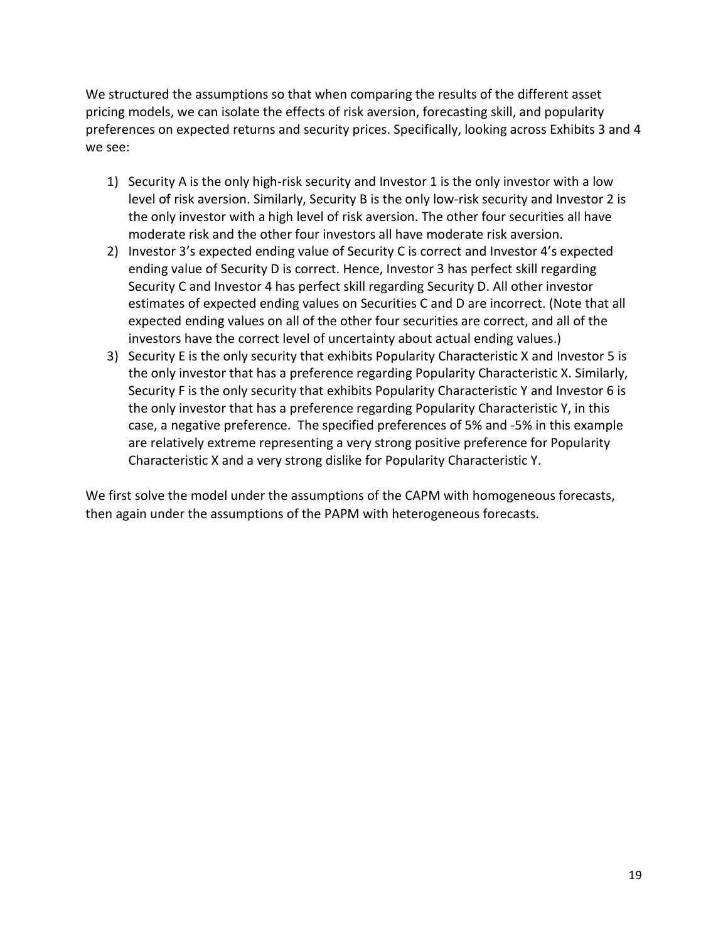We structured the assumptions so that when comparing the results of the different asset pricing models, we can isolate the effects of risk aversion, forecasting skill, and popularity preferences on expected returns and security prices. Specifically, looking across Exhibits 3 and 4 we see:

- 1) Security A is the only high-risk security and Investor 1 is the only investor with a low level of risk aversion. Similarly, Security B is the only low-risk security and Investor 2 is the only investor with a high level of risk aversion. The other four securities all have moderate risk and the other four investors all have moderate risk aversion.
- 2) Investor 3's expected ending value of Security C is correct and Investor 4's expected ending value of Security D is correct. Hence, Investor 3 has perfect skill regarding Security C and Investor 4 has perfect skill regarding Security D. All other investor estimates of expected ending values on Securities C and D are incorrect. (Note that all expected ending values on all of the other four securities are correct, and all of the investors have the correct level of uncertainty about actual ending values.)
- 3) Security E is the only security that exhibits Popularity Characteristic X and Investor 5 is the only investor that has a preference regarding Popularity Characteristic X. Similarly, Security F is the only security that exhibits Popularity Characteristic Y and Investor 6 is the only investor that has a preference regarding Popularity Characteristic Y, in this case, a negative preference. The specified preferences of 5% and -5% in this example are relatively extreme representing a very strong positive preference for Popularity Characteristic X and a very strong dislike for Popularity Characteristic Y.

We first solve the model under the assumptions of the CAPM with homogeneous forecasts, then again under the assumptions of the PAPM with heterogeneous forecasts.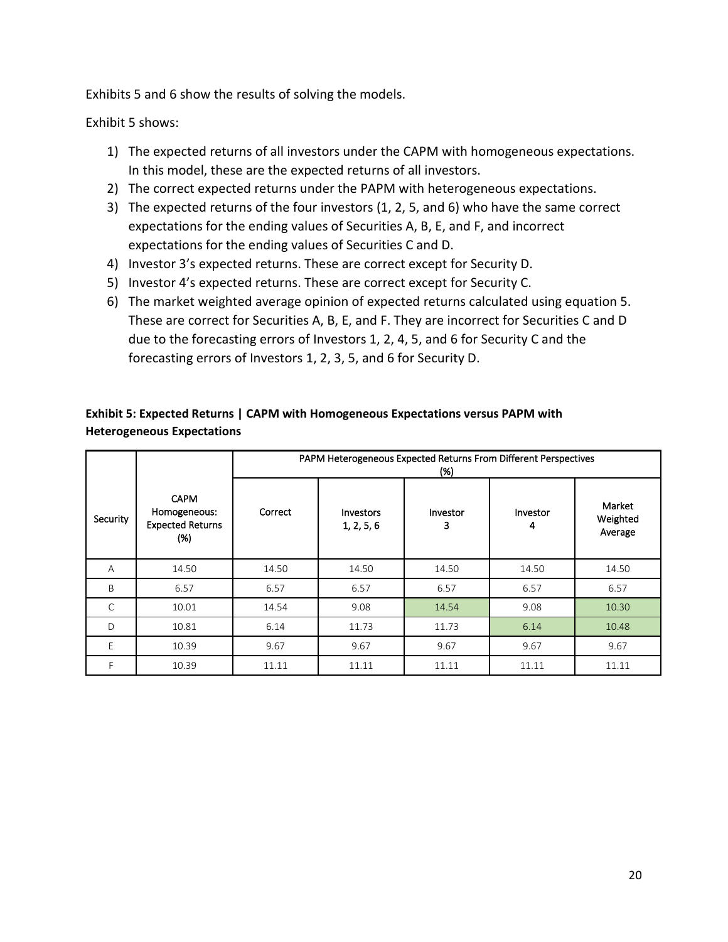Exhibits 5 and 6 show the results of solving the models.

Exhibit 5 shows:

- 1) The expected returns of all investors under the CAPM with homogeneous expectations. In this model, these are the expected returns of all investors.
- 2) The correct expected returns under the PAPM with heterogeneous expectations.
- 3) The expected returns of the four investors (1, 2, 5, and 6) who have the same correct expectations for the ending values of Securities A, B, E, and F, and incorrect expectations for the ending values of Securities C and D.
- 4) Investor 3's expected returns. These are correct except for Security D.
- 5) Investor 4's expected returns. These are correct except for Security C.
- 6) The market weighted average opinion of expected returns calculated using equation 5. These are correct for Securities A, B, E, and F. They are incorrect for Securities C and D due to the forecasting errors of Investors 1, 2, 4, 5, and 6 for Security C and the forecasting errors of Investors 1, 2, 3, 5, and 6 for Security D.

# **Exhibit 5: Expected Returns | CAPM with Homogeneous Expectations versus PAPM with Heterogeneous Expectations**

|              |                                                               | PAPM Heterogeneous Expected Returns From Different Perspectives<br>(% ) |                         |               |               |                               |
|--------------|---------------------------------------------------------------|-------------------------------------------------------------------------|-------------------------|---------------|---------------|-------------------------------|
| Security     | <b>CAPM</b><br>Homogeneous:<br><b>Expected Returns</b><br>(%) | Correct                                                                 | Investors<br>1, 2, 5, 6 | Investor<br>3 | Investor<br>4 | Market<br>Weighted<br>Average |
| A            | 14.50                                                         | 14.50                                                                   | 14.50                   | 14.50         | 14.50         | 14.50                         |
| B            | 6.57                                                          | 6.57                                                                    | 6.57                    | 6.57          | 6.57          | 6.57                          |
| $\mathsf{C}$ | 10.01                                                         | 14.54                                                                   | 9.08                    | 14.54         | 9.08          | 10.30                         |
| D            | 10.81                                                         | 6.14                                                                    | 11.73                   | 11.73         | 6.14          | 10.48                         |
| E            | 10.39                                                         | 9.67                                                                    | 9.67                    | 9.67          | 9.67          | 9.67                          |
|              | 10.39                                                         | 11.11                                                                   | 11.11                   | 11.11         | 11.11         | 11.11                         |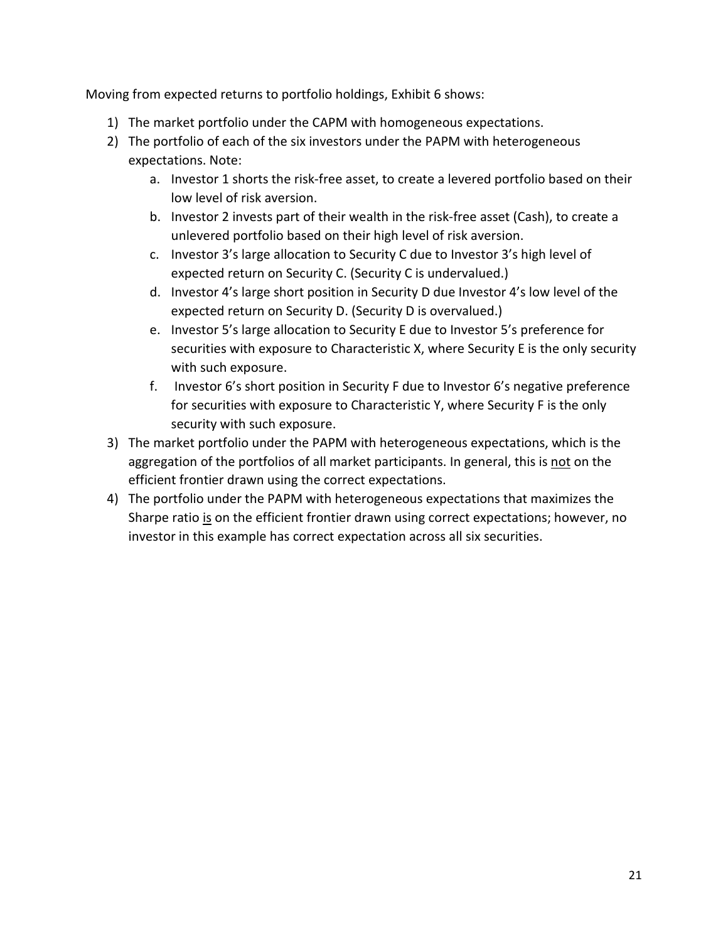Moving from expected returns to portfolio holdings, Exhibit 6 shows:

- 1) The market portfolio under the CAPM with homogeneous expectations.
- 2) The portfolio of each of the six investors under the PAPM with heterogeneous expectations. Note:
	- a. Investor 1 shorts the risk-free asset, to create a levered portfolio based on their low level of risk aversion.
	- b. Investor 2 invests part of their wealth in the risk-free asset (Cash), to create a unlevered portfolio based on their high level of risk aversion.
	- c. Investor 3's large allocation to Security C due to Investor 3's high level of expected return on Security C. (Security C is undervalued.)
	- d. Investor 4's large short position in Security D due Investor 4's low level of the expected return on Security D. (Security D is overvalued.)
	- e. Investor 5's large allocation to Security E due to Investor 5's preference for securities with exposure to Characteristic X, where Security E is the only security with such exposure.
	- f. Investor 6's short position in Security F due to Investor 6's negative preference for securities with exposure to Characteristic Y, where Security F is the only security with such exposure.
- 3) The market portfolio under the PAPM with heterogeneous expectations, which is the aggregation of the portfolios of all market participants. In general, this is not on the efficient frontier drawn using the correct expectations.
- 4) The portfolio under the PAPM with heterogeneous expectations that maximizes the Sharpe ratio is on the efficient frontier drawn using correct expectations; however, no investor in this example has correct expectation across all six securities.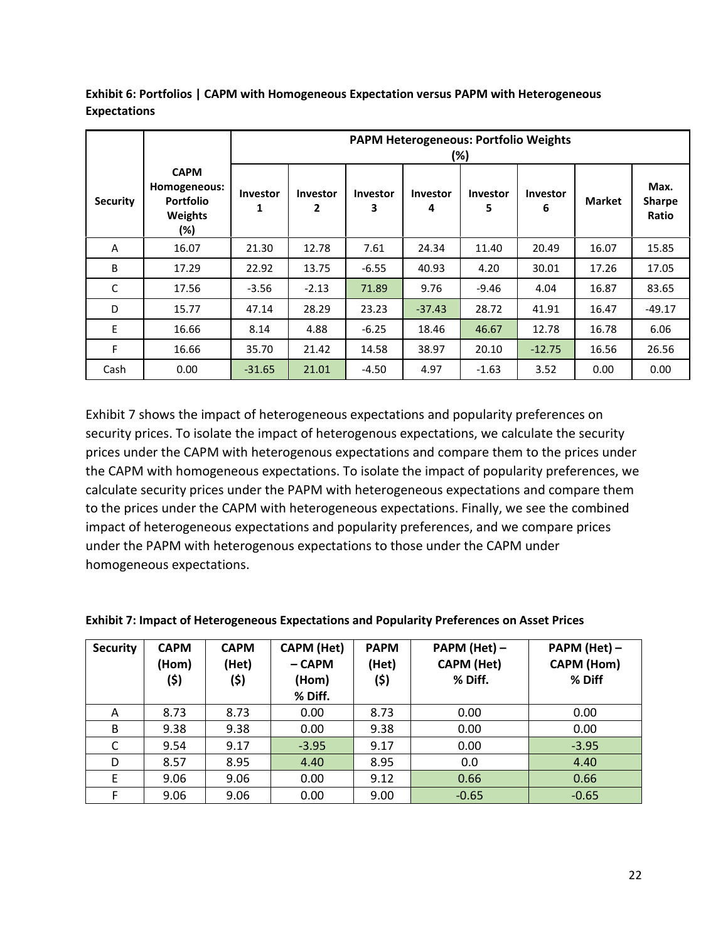|                 |                                                                          | <b>PAPM Heterogeneous: Portfolio Weights</b><br>(%) |                                 |                      |                      |                      |                      |               |                                |
|-----------------|--------------------------------------------------------------------------|-----------------------------------------------------|---------------------------------|----------------------|----------------------|----------------------|----------------------|---------------|--------------------------------|
| <b>Security</b> | <b>CAPM</b><br>Homogeneous:<br><b>Portfolio</b><br><b>Weights</b><br>(%) | Investor                                            | <b>Investor</b><br>$\mathbf{2}$ | <b>Investor</b><br>3 | <b>Investor</b><br>4 | <b>Investor</b><br>5 | <b>Investor</b><br>6 | <b>Market</b> | Max.<br><b>Sharpe</b><br>Ratio |
| A               | 16.07                                                                    | 21.30                                               | 12.78                           | 7.61                 | 24.34                | 11.40                | 20.49                | 16.07         | 15.85                          |
| B               | 17.29                                                                    | 22.92                                               | 13.75                           | $-6.55$              | 40.93                | 4.20                 | 30.01                | 17.26         | 17.05                          |
| C               | 17.56                                                                    | $-3.56$                                             | $-2.13$                         | 71.89                | 9.76                 | $-9.46$              | 4.04                 | 16.87         | 83.65                          |
| D               | 15.77                                                                    | 47.14                                               | 28.29                           | 23.23                | $-37.43$             | 28.72                | 41.91                | 16.47         | $-49.17$                       |
| E               | 16.66                                                                    | 8.14                                                | 4.88                            | $-6.25$              | 18.46                | 46.67                | 12.78                | 16.78         | 6.06                           |
| F               | 16.66                                                                    | 35.70                                               | 21.42                           | 14.58                | 38.97                | 20.10                | $-12.75$             | 16.56         | 26.56                          |
| Cash            | 0.00                                                                     | $-31.65$                                            | 21.01                           | $-4.50$              | 4.97                 | $-1.63$              | 3.52                 | 0.00          | 0.00                           |

**Exhibit 6: Portfolios | CAPM with Homogeneous Expectation versus PAPM with Heterogeneous Expectations**

Exhibit 7 shows the impact of heterogeneous expectations and popularity preferences on security prices. To isolate the impact of heterogenous expectations, we calculate the security prices under the CAPM with heterogenous expectations and compare them to the prices under the CAPM with homogeneous expectations. To isolate the impact of popularity preferences, we calculate security prices under the PAPM with heterogeneous expectations and compare them to the prices under the CAPM with heterogeneous expectations. Finally, we see the combined impact of heterogeneous expectations and popularity preferences, and we compare prices under the PAPM with heterogenous expectations to those under the CAPM under homogeneous expectations.

| <b>Security</b> | <b>CAPM</b><br>(Hom)<br>(\$) | <b>CAPM</b><br>(Het)<br>(\$) | <b>CAPM (Het)</b><br>- CAPM<br>(Hom)<br>% Diff. | <b>PAPM</b><br>(Het)<br>(\$) | PAPM (Het) -<br><b>CAPM (Het)</b><br>% Diff. | PAPM (Het) -<br><b>CAPM (Hom)</b><br>% Diff |
|-----------------|------------------------------|------------------------------|-------------------------------------------------|------------------------------|----------------------------------------------|---------------------------------------------|
| A               | 8.73                         | 8.73                         | 0.00                                            | 8.73                         | 0.00                                         | 0.00                                        |
| B               | 9.38                         | 9.38                         | 0.00                                            | 9.38                         | 0.00                                         | 0.00                                        |
| C               | 9.54                         | 9.17                         | $-3.95$                                         | 9.17                         | 0.00                                         | $-3.95$                                     |
| D               | 8.57                         | 8.95                         | 4.40                                            | 8.95                         | 0.0                                          | 4.40                                        |
| F               | 9.06                         | 9.06                         | 0.00                                            | 9.12                         | 0.66                                         | 0.66                                        |
| F               | 9.06                         | 9.06                         | 0.00                                            | 9.00                         | $-0.65$                                      | $-0.65$                                     |

| Exhibit 7: Impact of Heterogeneous Expectations and Popularity Preferences on Asset Prices |
|--------------------------------------------------------------------------------------------|
|--------------------------------------------------------------------------------------------|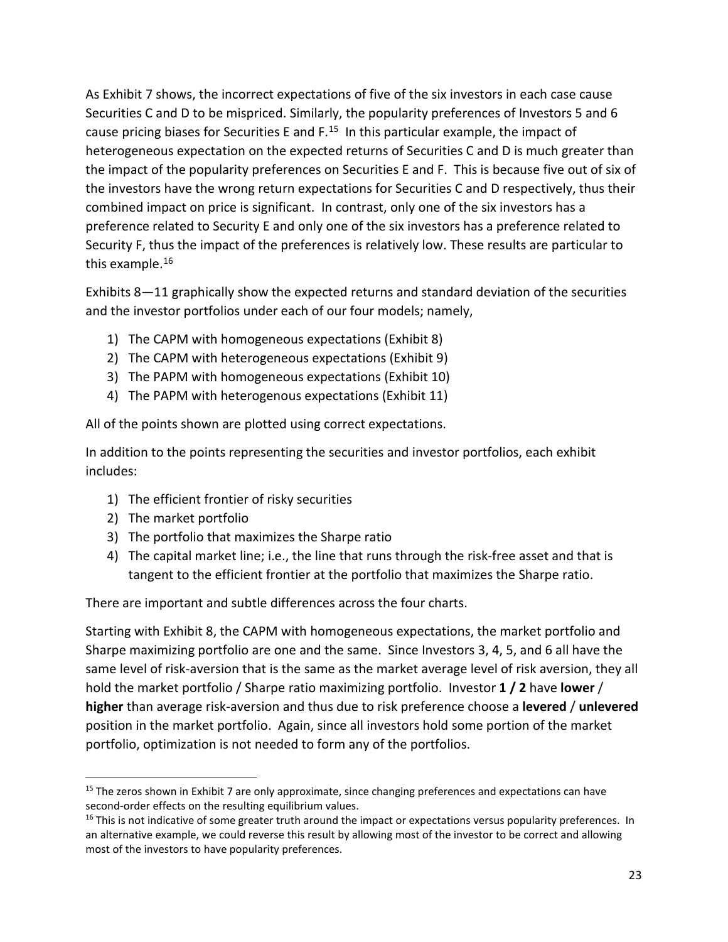As Exhibit 7 shows, the incorrect expectations of five of the six investors in each case cause Securities C and D to be mispriced. Similarly, the popularity preferences of Investors 5 and 6 cause pricing biases for Securities E and  $F<sup>15</sup>$  In this particular example, the impact of heterogeneous expectation on the expected returns of Securities C and D is much greater than the impact of the popularity preferences on Securities E and F. This is because five out of six of the investors have the wrong return expectations for Securities C and D respectively, thus their combined impact on price is significant. In contrast, only one of the six investors has a preference related to Security E and only one of the six investors has a preference related to Security F, thus the impact of the preferences is relatively low. These results are particular to this example.<sup>[16](#page-22-1)</sup>

Exhibits 8—11 graphically show the expected returns and standard deviation of the securities and the investor portfolios under each of our four models; namely,

- 1) The CAPM with homogeneous expectations (Exhibit 8)
- 2) The CAPM with heterogeneous expectations (Exhibit 9)
- 3) The PAPM with homogeneous expectations (Exhibit 10)
- 4) The PAPM with heterogenous expectations (Exhibit 11)

All of the points shown are plotted using correct expectations.

In addition to the points representing the securities and investor portfolios, each exhibit includes:

- 1) The efficient frontier of risky securities
- 2) The market portfolio
- 3) The portfolio that maximizes the Sharpe ratio
- 4) The capital market line; i.e., the line that runs through the risk-free asset and that is tangent to the efficient frontier at the portfolio that maximizes the Sharpe ratio.

There are important and subtle differences across the four charts.

Starting with Exhibit 8, the CAPM with homogeneous expectations, the market portfolio and Sharpe maximizing portfolio are one and the same. Since Investors 3, 4, 5, and 6 all have the same level of risk-aversion that is the same as the market average level of risk aversion, they all hold the market portfolio / Sharpe ratio maximizing portfolio. Investor **1 / 2** have **lower** / **higher** than average risk-aversion and thus due to risk preference choose a **levered** / **unlevered** position in the market portfolio. Again, since all investors hold some portion of the market portfolio, optimization is not needed to form any of the portfolios.

<span id="page-22-0"></span><sup>&</sup>lt;sup>15</sup> The zeros shown in Exhibit 7 are only approximate, since changing preferences and expectations can have second-order effects on the resulting equilibrium values.

<span id="page-22-1"></span> $16$  This is not indicative of some greater truth around the impact or expectations versus popularity preferences. In an alternative example, we could reverse this result by allowing most of the investor to be correct and allowing most of the investors to have popularity preferences.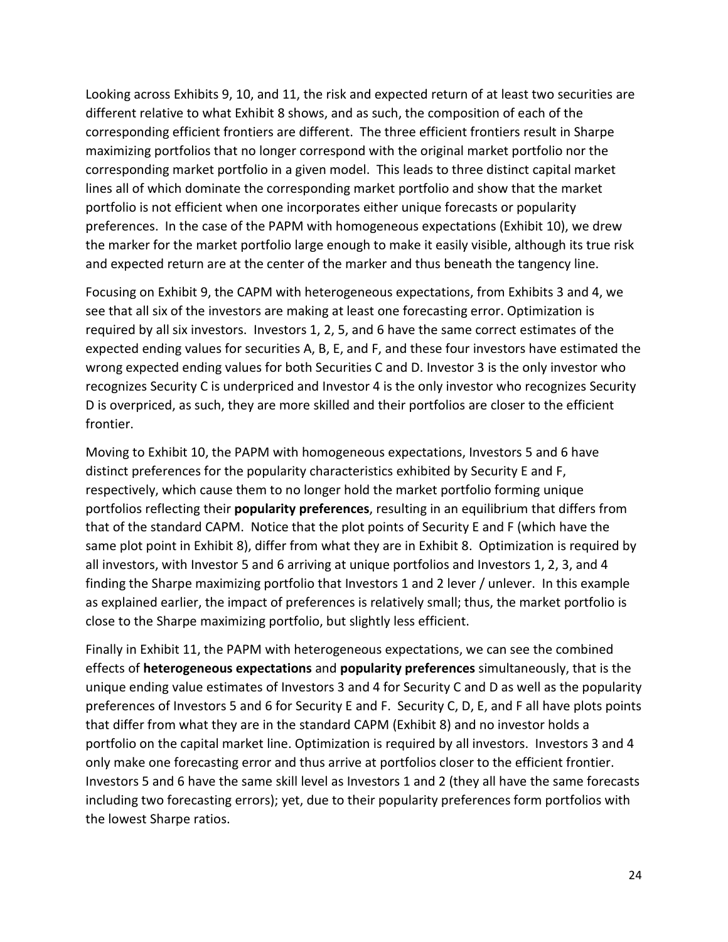Looking across Exhibits 9, 10, and 11, the risk and expected return of at least two securities are different relative to what Exhibit 8 shows, and as such, the composition of each of the corresponding efficient frontiers are different. The three efficient frontiers result in Sharpe maximizing portfolios that no longer correspond with the original market portfolio nor the corresponding market portfolio in a given model. This leads to three distinct capital market lines all of which dominate the corresponding market portfolio and show that the market portfolio is not efficient when one incorporates either unique forecasts or popularity preferences. In the case of the PAPM with homogeneous expectations (Exhibit 10), we drew the marker for the market portfolio large enough to make it easily visible, although its true risk and expected return are at the center of the marker and thus beneath the tangency line.

Focusing on Exhibit 9, the CAPM with heterogeneous expectations, from Exhibits 3 and 4, we see that all six of the investors are making at least one forecasting error. Optimization is required by all six investors. Investors 1, 2, 5, and 6 have the same correct estimates of the expected ending values for securities A, B, E, and F, and these four investors have estimated the wrong expected ending values for both Securities C and D. Investor 3 is the only investor who recognizes Security C is underpriced and Investor 4 is the only investor who recognizes Security D is overpriced, as such, they are more skilled and their portfolios are closer to the efficient frontier.

Moving to Exhibit 10, the PAPM with homogeneous expectations, Investors 5 and 6 have distinct preferences for the popularity characteristics exhibited by Security E and F, respectively, which cause them to no longer hold the market portfolio forming unique portfolios reflecting their **popularity preferences**, resulting in an equilibrium that differs from that of the standard CAPM. Notice that the plot points of Security E and F (which have the same plot point in Exhibit 8), differ from what they are in Exhibit 8. Optimization is required by all investors, with Investor 5 and 6 arriving at unique portfolios and Investors 1, 2, 3, and 4 finding the Sharpe maximizing portfolio that Investors 1 and 2 lever / unlever. In this example as explained earlier, the impact of preferences is relatively small; thus, the market portfolio is close to the Sharpe maximizing portfolio, but slightly less efficient.

Finally in Exhibit 11, the PAPM with heterogeneous expectations, we can see the combined effects of **heterogeneous expectations** and **popularity preferences** simultaneously, that is the unique ending value estimates of Investors 3 and 4 for Security C and D as well as the popularity preferences of Investors 5 and 6 for Security E and F. Security C, D, E, and F all have plots points that differ from what they are in the standard CAPM (Exhibit 8) and no investor holds a portfolio on the capital market line. Optimization is required by all investors. Investors 3 and 4 only make one forecasting error and thus arrive at portfolios closer to the efficient frontier. Investors 5 and 6 have the same skill level as Investors 1 and 2 (they all have the same forecasts including two forecasting errors); yet, due to their popularity preferences form portfolios with the lowest Sharpe ratios.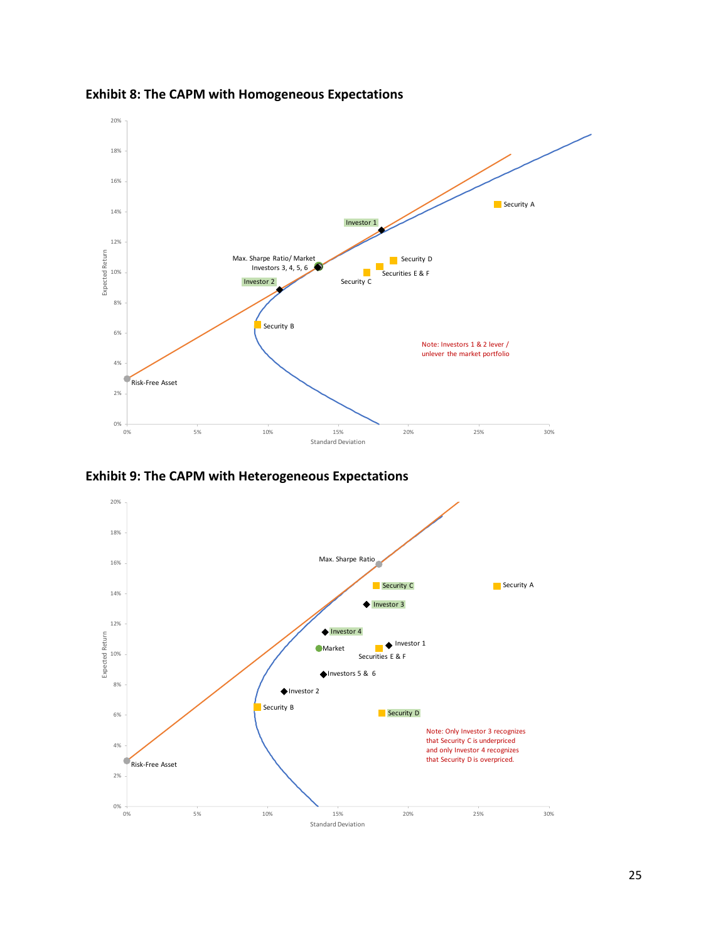

**Exhibit 8: The CAPM with Homogeneous Expectations**

**Exhibit 9: The CAPM with Heterogeneous Expectations**

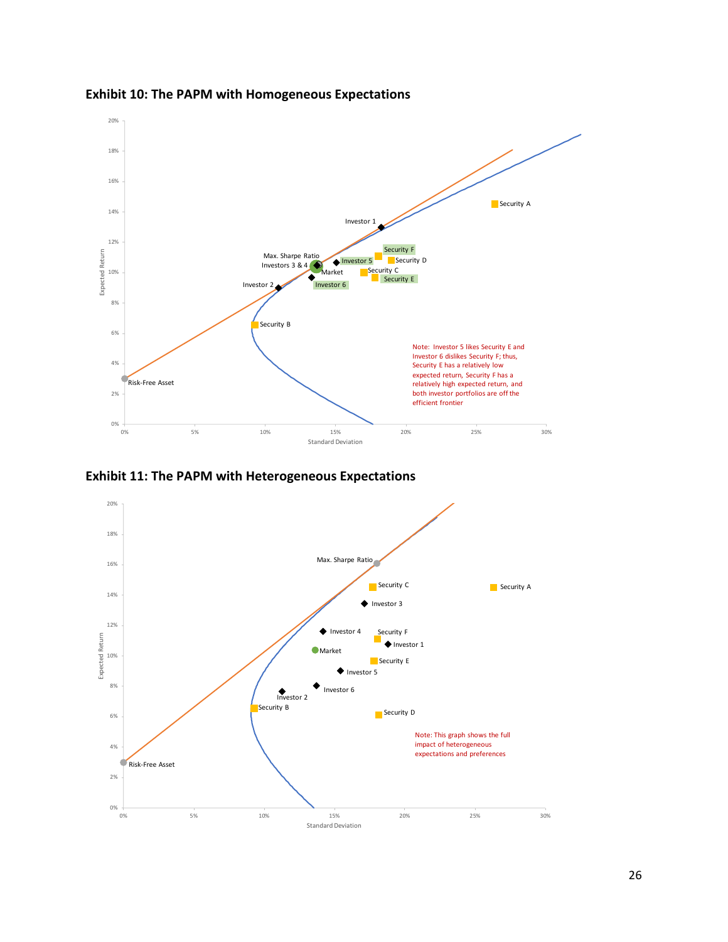

**Exhibit 10: The PAPM with Homogeneous Expectations**

**Exhibit 11: The PAPM with Heterogeneous Expectations**

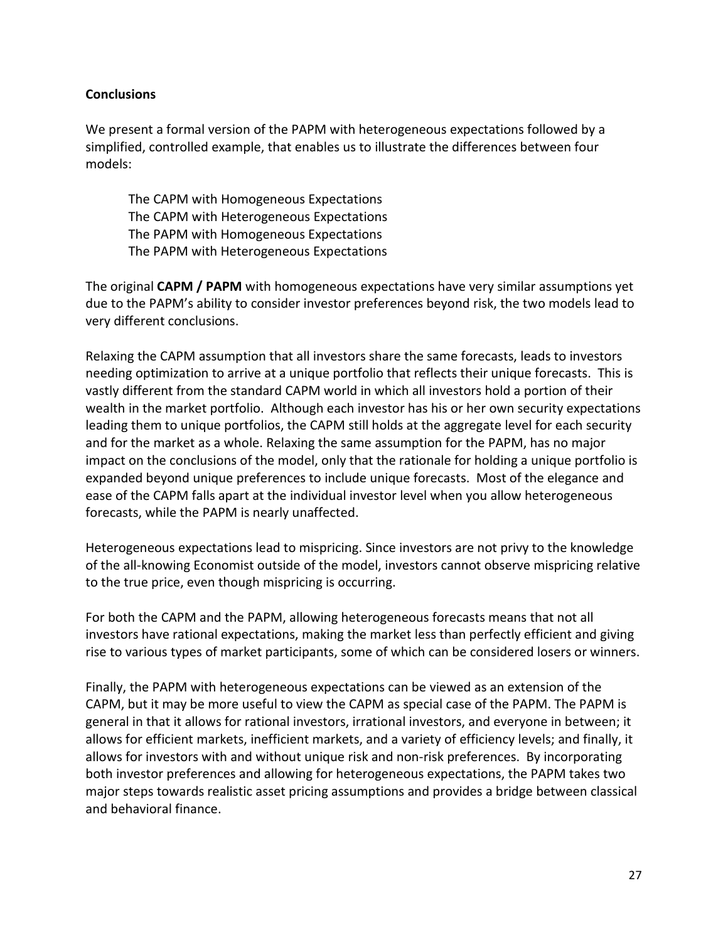# **Conclusions**

We present a formal version of the PAPM with heterogeneous expectations followed by a simplified, controlled example, that enables us to illustrate the differences between four models:

The CAPM with Homogeneous Expectations The CAPM with Heterogeneous Expectations The PAPM with Homogeneous Expectations The PAPM with Heterogeneous Expectations

The original **CAPM / PAPM** with homogeneous expectations have very similar assumptions yet due to the PAPM's ability to consider investor preferences beyond risk, the two models lead to very different conclusions.

Relaxing the CAPM assumption that all investors share the same forecasts, leads to investors needing optimization to arrive at a unique portfolio that reflects their unique forecasts. This is vastly different from the standard CAPM world in which all investors hold a portion of their wealth in the market portfolio. Although each investor has his or her own security expectations leading them to unique portfolios, the CAPM still holds at the aggregate level for each security and for the market as a whole. Relaxing the same assumption for the PAPM, has no major impact on the conclusions of the model, only that the rationale for holding a unique portfolio is expanded beyond unique preferences to include unique forecasts. Most of the elegance and ease of the CAPM falls apart at the individual investor level when you allow heterogeneous forecasts, while the PAPM is nearly unaffected.

Heterogeneous expectations lead to mispricing. Since investors are not privy to the knowledge of the all-knowing Economist outside of the model, investors cannot observe mispricing relative to the true price, even though mispricing is occurring.

For both the CAPM and the PAPM, allowing heterogeneous forecasts means that not all investors have rational expectations, making the market less than perfectly efficient and giving rise to various types of market participants, some of which can be considered losers or winners.

Finally, the PAPM with heterogeneous expectations can be viewed as an extension of the CAPM, but it may be more useful to view the CAPM as special case of the PAPM. The PAPM is general in that it allows for rational investors, irrational investors, and everyone in between; it allows for efficient markets, inefficient markets, and a variety of efficiency levels; and finally, it allows for investors with and without unique risk and non-risk preferences. By incorporating both investor preferences and allowing for heterogeneous expectations, the PAPM takes two major steps towards realistic asset pricing assumptions and provides a bridge between classical and behavioral finance.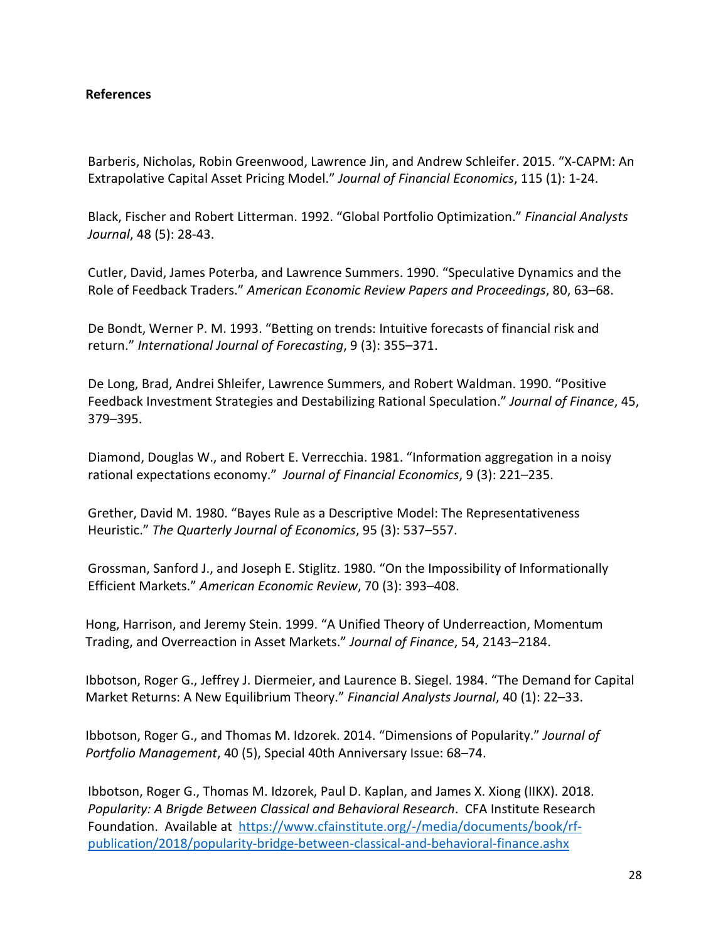# **References**

Barberis, Nicholas, Robin Greenwood, Lawrence Jin, and Andrew Schleifer. 2015. "X-CAPM: An Extrapolative Capital Asset Pricing Model." *Journal of Financial Economics*, 115 (1): 1-24.

Black, Fischer and Robert Litterman. 1992. "Global Portfolio Optimization." *Financial Analysts Journal*, 48 (5): 28-43.

Cutler, David, James Poterba, and Lawrence Summers. 1990. "Speculative Dynamics and the Role of Feedback Traders." *American Economic Review Papers and Proceedings*, 80, 63–68.

De Bondt, Werner P. M. 1993. "Betting on trends: Intuitive forecasts of financial risk and return." *International Journal of Forecasting*, 9 (3): 355–371.

De Long, Brad, Andrei Shleifer, Lawrence Summers, and Robert Waldman. 1990. "Positive Feedback Investment Strategies and Destabilizing Rational Speculation." *Journal of Finance*, 45, 379–395.

Diamond, Douglas W., and Robert E. Verrecchia. 1981. "Information aggregation in a noisy rational expectations economy." *Journal of Financial Economics*, 9 (3): 221–235.

Grether, David M. 1980. "Bayes Rule as a Descriptive Model: The Representativeness Heuristic." *The Quarterly Journal of Economics*, 95 (3): 537–557.

Grossman, Sanford J., and Joseph E. Stiglitz. 1980. "On the Impossibility of Informationally Efficient Markets." *American Economic Review*, 70 (3): 393–408.

Hong, Harrison, and Jeremy Stein. 1999. "A Unified Theory of Underreaction, Momentum Trading, and Overreaction in Asset Markets." *Journal of Finance*, 54, 2143–2184.

Ibbotson, Roger G., Jeffrey J. Diermeier, and Laurence B. Siegel. 1984. "The Demand for Capital Market Returns: A New Equilibrium Theory." *Financial Analysts Journal*, 40 (1): 22–33.

Ibbotson, Roger G., and Thomas M. Idzorek. 2014. "Dimensions of Popularity." *Journal of Portfolio Management*, 40 (5), Special 40th Anniversary Issue: 68–74.

Ibbotson, Roger G., Thomas M. Idzorek, Paul D. Kaplan, and James X. Xiong (IIKX). 2018. *Popularity: A Brigde Between Classical and Behavioral Research*. CFA Institute Research Foundation. Available at [https://www.cfainstitute.org/-/media/documents/book/rf](https://www.cfainstitute.org/-/media/documents/book/rf-publication/2018/popularity-bridge-between-classical-and-behavioral-finance.ashx)[publication/2018/popularity-bridge-between-classical-and-behavioral-finance.ashx](https://www.cfainstitute.org/-/media/documents/book/rf-publication/2018/popularity-bridge-between-classical-and-behavioral-finance.ashx)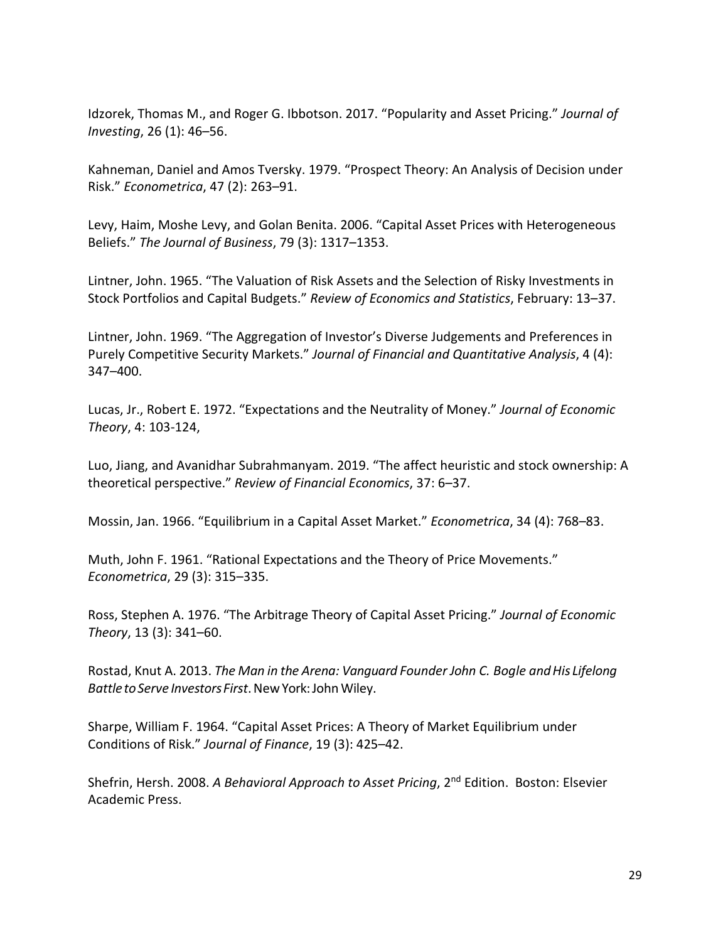Idzorek, Thomas M., and Roger G. Ibbotson. 2017. "Popularity and Asset Pricing." *Journal of Investing*, 26 (1): 46–56.

Kahneman, Daniel and Amos Tversky. 1979. "Prospect Theory: An Analysis of Decision under Risk." *Econometrica*, 47 (2): 263–91.

Levy, Haim, Moshe Levy, and Golan Benita. 2006. "Capital Asset Prices with Heterogeneous Beliefs." *The Journal of Business*, 79 (3): 1317–1353.

Lintner, John. 1965. "The Valuation of Risk Assets and the Selection of Risky Investments in Stock Portfolios and Capital Budgets." *Review of Economics and Statistics*, February: 13–37.

Lintner, John. 1969. "The Aggregation of Investor's Diverse Judgements and Preferences in Purely Competitive Security Markets." *Journal of Financial and Quantitative Analysis*, 4 (4): 347–400.

Lucas, Jr., Robert E. 1972. "Expectations and the Neutrality of Money." *Journal of Economic Theory*, 4: 103-124,

Luo, Jiang, and Avanidhar Subrahmanyam. 2019. "The affect heuristic and stock ownership: A theoretical perspective." *Review of Financial Economics*, 37: 6–37.

Mossin, Jan. 1966. "Equilibrium in a Capital Asset Market." *Econometrica*, 34 (4): 768–83.

Muth, John F. 1961. "Rational Expectations and the Theory of Price Movements." *Econometrica*, 29 (3): 315–335.

Ross, Stephen A. 1976. "The Arbitrage Theory of Capital Asset Pricing." *Journal of Economic Theory*, 13 (3): 341–60.

Rostad, Knut A. 2013. *The Man in the Arena: Vanguard Founder John C. Bogle andHis Lifelong BattletoServe InvestorsFirst*.NewYork:JohnWiley.

Sharpe, William F. 1964. "Capital Asset Prices: A Theory of Market Equilibrium under Conditions of Risk." *Journal of Finance*, 19 (3): 425–42.

Shefrin, Hersh. 2008. *A Behavioral Approach to Asset Pricing*, 2nd Edition. Boston: Elsevier Academic Press.